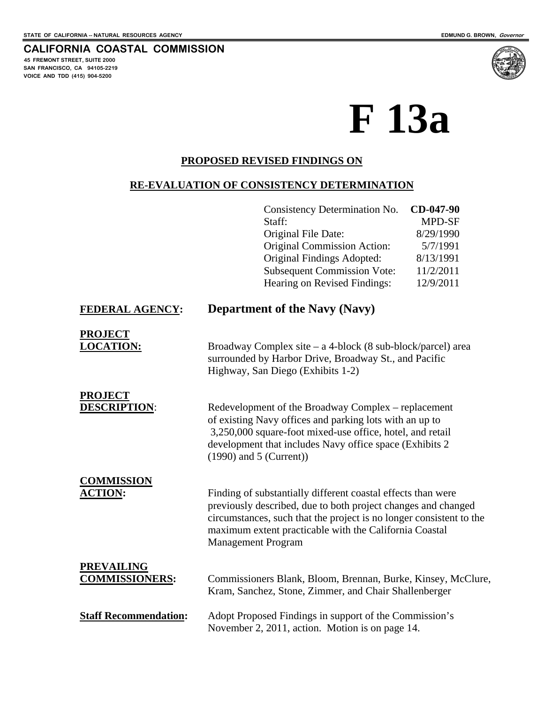# **CALIFORNIA COASTAL COMMISSION**

**45 FREMONT STREET, SUITE 2000 SAN FRANCISCO, CA 94105-2219 VOICE AND TDD (415) 904-5200**

# **F 13a**

#### **PROPOSED REVISED FINDINGS ON**

#### **RE-EVALUATION OF CONSISTENCY DETERMINATION**

|                                            | Consistency Determination No.<br>Staff:<br>Original File Date:<br><b>Original Commission Action:</b><br>Original Findings Adopted:<br><b>Subsequent Commission Vote:</b><br>Hearing on Revised Findings:                                                                                    | CD-047-90<br>MPD-SF<br>8/29/1990<br>5/7/1991<br>8/13/1991<br>11/2/2011<br>12/9/2011 |  |  |  |
|--------------------------------------------|---------------------------------------------------------------------------------------------------------------------------------------------------------------------------------------------------------------------------------------------------------------------------------------------|-------------------------------------------------------------------------------------|--|--|--|
| FEDERAL AGENCY:                            | <b>Department of the Navy (Navy)</b>                                                                                                                                                                                                                                                        |                                                                                     |  |  |  |
| <b>PROJECT</b><br><b>LOCATION:</b>         | Broadway Complex site $-$ a 4-block (8 sub-block/parcel) area<br>surrounded by Harbor Drive, Broadway St., and Pacific<br>Highway, San Diego (Exhibits 1-2)                                                                                                                                 |                                                                                     |  |  |  |
| <b>PROJECT</b><br><b>DESCRIPTION:</b>      | Redevelopment of the Broadway Complex – replacement<br>of existing Navy offices and parking lots with an up to<br>3,250,000 square-foot mixed-use office, hotel, and retail<br>development that includes Navy office space (Exhibits 2)<br>$(1990)$ and 5 (Current))                        |                                                                                     |  |  |  |
| <b>COMMISSION</b><br><b>ACTION:</b>        | Finding of substantially different coastal effects than were<br>previously described, due to both project changes and changed<br>circumstances, such that the project is no longer consistent to the<br>maximum extent practicable with the California Coastal<br><b>Management Program</b> |                                                                                     |  |  |  |
| <b>PREVAILING</b><br><b>COMMISSIONERS:</b> | Commissioners Blank, Bloom, Brennan, Burke, Kinsey, McClure,<br>Kram, Sanchez, Stone, Zimmer, and Chair Shallenberger                                                                                                                                                                       |                                                                                     |  |  |  |
| <b>Staff Recommendation:</b>               | Adopt Proposed Findings in support of the Commission's<br>November 2, 2011, action. Motion is on page 14.                                                                                                                                                                                   |                                                                                     |  |  |  |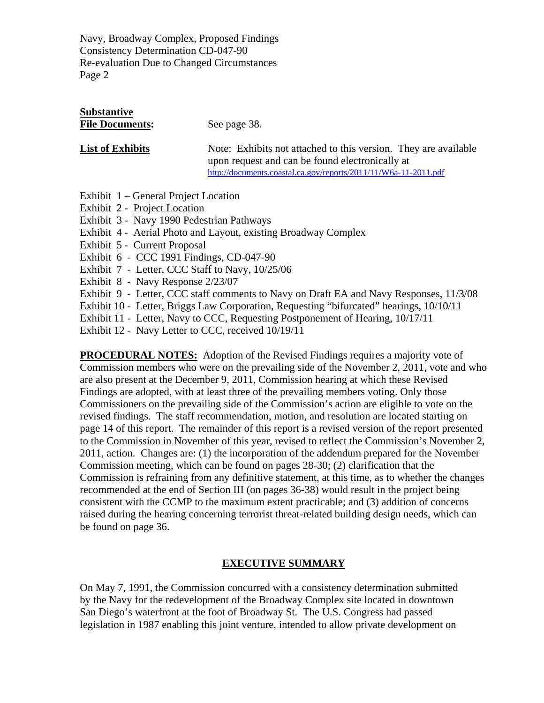# **Substantive** File Documents: See page 38. **List of Exhibits** Note: Exhibits not attached to this version. They are available

 upon request and can be found electronically at <http://documents.coastal.ca.gov/reports/2011/11/W6a-11-2011.pdf>

- Exhibit 1 General Project Location
- Exhibit 2 Project Location
- Exhibit 3 Navy 1990 Pedestrian Pathways
- Exhibit 4 Aerial Photo and Layout, existing Broadway Complex
- Exhibit 5 Current Proposal
- Exhibit 6 CCC 1991 Findings, CD-047-90
- Exhibit 7 Letter, CCC Staff to Navy, 10/25/06
- Exhibit 8 Navy Response 2/23/07
- Exhibit 9 Letter, CCC staff comments to Navy on Draft EA and Navy Responses, 11/3/08
- Exhibit 10 Letter, Briggs Law Corporation, Requesting "bifurcated" hearings, 10/10/11
- Exhibit 11 Letter, Navy to CCC, Requesting Postponement of Hearing, 10/17/11
- Exhibit 12 Navy Letter to CCC, received 10/19/11

**PROCEDURAL NOTES:** Adoption of the Revised Findings requires a majority vote of Commission members who were on the prevailing side of the November 2, 2011, vote and who are also present at the December 9, 2011, Commission hearing at which these Revised Findings are adopted, with at least three of the prevailing members voting. Only those Commissioners on the prevailing side of the Commission's action are eligible to vote on the revised findings. The staff recommendation, motion, and resolution are located starting on page 14 of this report. The remainder of this report is a revised version of the report presented to the Commission in November of this year, revised to reflect the Commission's November 2, 2011, action. Changes are: (1) the incorporation of the addendum prepared for the November Commission meeting, which can be found on pages 28-30; (2) clarification that the Commission is refraining from any definitive statement, at this time, as to whether the changes recommended at the end of Section III (on pages 36-38) would result in the project being consistent with the CCMP to the maximum extent practicable; and (3) addition of concerns raised during the hearing concerning terrorist threat-related building design needs, which can be found on page 36.

#### **EXECUTIVE SUMMARY**

On May 7, 1991, the Commission concurred with a consistency determination submitted by the Navy for the redevelopment of the Broadway Complex site located in downtown San Diego's waterfront at the foot of Broadway St. The U.S. Congress had passed legislation in 1987 enabling this joint venture, intended to allow private development on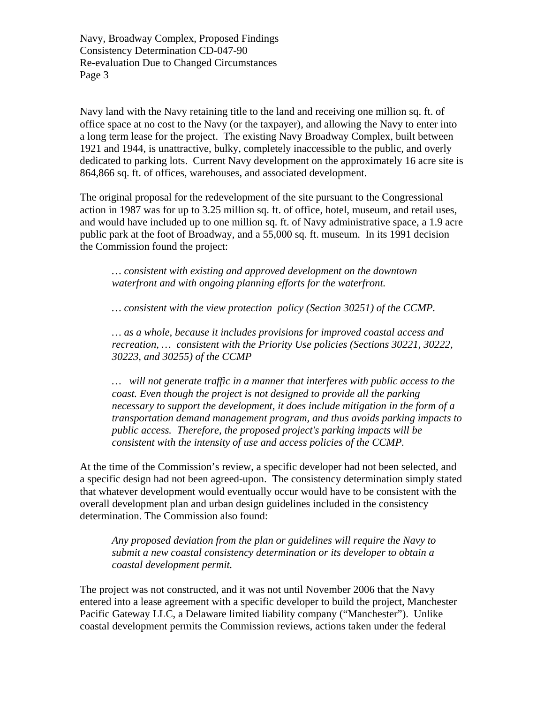Navy land with the Navy retaining title to the land and receiving one million sq. ft. of office space at no cost to the Navy (or the taxpayer), and allowing the Navy to enter into a long term lease for the project. The existing Navy Broadway Complex, built between 1921 and 1944, is unattractive, bulky, completely inaccessible to the public, and overly dedicated to parking lots. Current Navy development on the approximately 16 acre site is 864,866 sq. ft. of offices, warehouses, and associated development.

The original proposal for the redevelopment of the site pursuant to the Congressional action in 1987 was for up to 3.25 million sq. ft. of office, hotel, museum, and retail uses, and would have included up to one million sq. ft. of Navy administrative space, a 1.9 acre public park at the foot of Broadway, and a 55,000 sq. ft. museum. In its 1991 decision the Commission found the project:

*… consistent with existing and approved development on the downtown waterfront and with ongoing planning efforts for the waterfront.* 

*… consistent with the view protection policy (Section 30251) of the CCMP.* 

*… as a whole, because it includes provisions for improved coastal access and recreation, … consistent with the Priority Use policies (Sections 30221, 30222, 30223, and 30255) of the CCMP* 

*… will not generate traffic in a manner that interferes with public access to the coast. Even though the project is not designed to provide all the parking necessary to support the development, it does include mitigation in the form of a transportation demand management program, and thus avoids parking impacts to public access. Therefore, the proposed project's parking impacts will be consistent with the intensity of use and access policies of the CCMP.* 

At the time of the Commission's review, a specific developer had not been selected, and a specific design had not been agreed-upon. The consistency determination simply stated that whatever development would eventually occur would have to be consistent with the overall development plan and urban design guidelines included in the consistency determination. The Commission also found:

*Any proposed deviation from the plan or guidelines will require the Navy to submit a new coastal consistency determination or its developer to obtain a coastal development permit.* 

The project was not constructed, and it was not until November 2006 that the Navy entered into a lease agreement with a specific developer to build the project, Manchester Pacific Gateway LLC, a Delaware limited liability company ("Manchester"). Unlike coastal development permits the Commission reviews, actions taken under the federal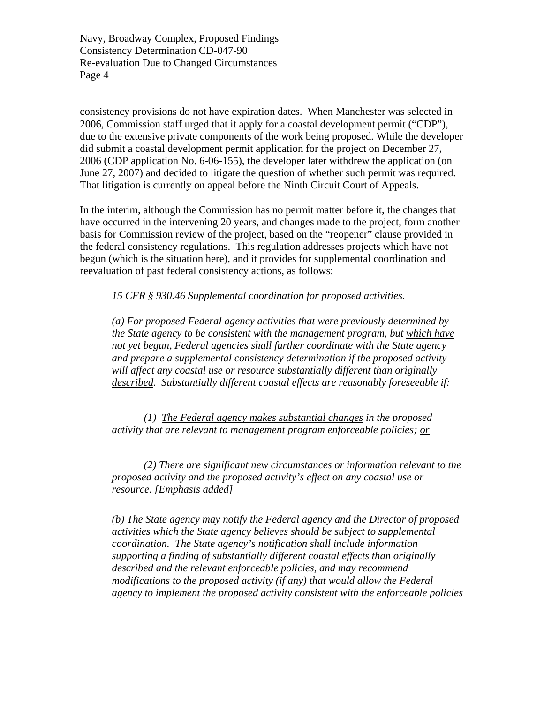consistency provisions do not have expiration dates. When Manchester was selected in 2006, Commission staff urged that it apply for a coastal development permit ("CDP"), due to the extensive private components of the work being proposed. While the developer did submit a coastal development permit application for the project on December 27, 2006 (CDP application No. 6-06-155), the developer later withdrew the application (on June 27, 2007) and decided to litigate the question of whether such permit was required. That litigation is currently on appeal before the Ninth Circuit Court of Appeals.

In the interim, although the Commission has no permit matter before it, the changes that have occurred in the intervening 20 years, and changes made to the project, form another basis for Commission review of the project, based on the "reopener" clause provided in the federal consistency regulations. This regulation addresses projects which have not begun (which is the situation here), and it provides for supplemental coordination and reevaluation of past federal consistency actions, as follows:

*15 CFR § 930.46 Supplemental coordination for proposed activities.* 

*(a) For proposed Federal agency activities that were previously determined by the State agency to be consistent with the management program, but which have not yet begun, Federal agencies shall further coordinate with the State agency and prepare a supplemental consistency determination if the proposed activity will affect any coastal use or resource substantially different than originally described. Substantially different coastal effects are reasonably foreseeable if:* 

 *(1) The Federal agency makes substantial changes in the proposed activity that are relevant to management program enforceable policies; or*

*(2) There are significant new circumstances or information relevant to the proposed activity and the proposed activity's effect on any coastal use or resource. [Emphasis added]* 

*(b) The State agency may notify the Federal agency and the Director of proposed activities which the State agency believes should be subject to supplemental coordination. The State agency's notification shall include information supporting a finding of substantially different coastal effects than originally described and the relevant enforceable policies, and may recommend modifications to the proposed activity (if any) that would allow the Federal agency to implement the proposed activity consistent with the enforceable policies*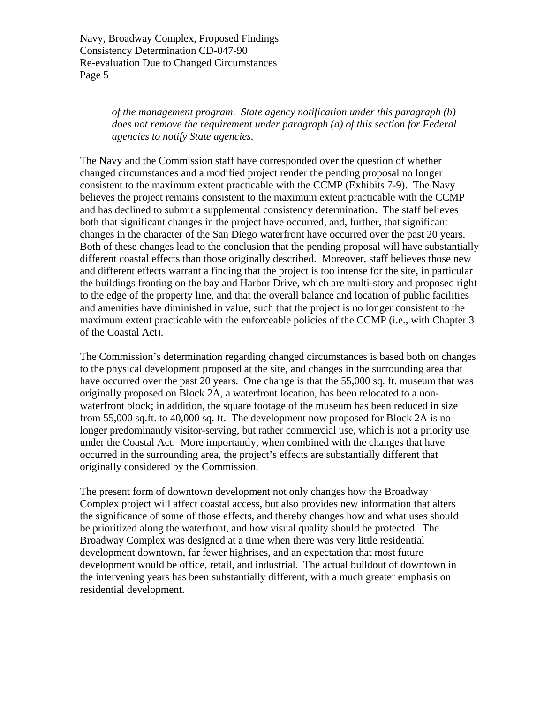> *of the management program. State agency notification under this paragraph (b) does not remove the requirement under paragraph (a) of this section for Federal agencies to notify State agencies.*

The Navy and the Commission staff have corresponded over the question of whether changed circumstances and a modified project render the pending proposal no longer consistent to the maximum extent practicable with the CCMP (Exhibits 7-9). The Navy believes the project remains consistent to the maximum extent practicable with the CCMP and has declined to submit a supplemental consistency determination. The staff believes both that significant changes in the project have occurred, and, further, that significant changes in the character of the San Diego waterfront have occurred over the past 20 years. Both of these changes lead to the conclusion that the pending proposal will have substantially different coastal effects than those originally described. Moreover, staff believes those new and different effects warrant a finding that the project is too intense for the site, in particular the buildings fronting on the bay and Harbor Drive, which are multi-story and proposed right to the edge of the property line, and that the overall balance and location of public facilities and amenities have diminished in value, such that the project is no longer consistent to the maximum extent practicable with the enforceable policies of the CCMP (i.e., with Chapter 3 of the Coastal Act).

The Commission's determination regarding changed circumstances is based both on changes to the physical development proposed at the site, and changes in the surrounding area that have occurred over the past 20 years. One change is that the 55,000 sq. ft. museum that was originally proposed on Block 2A, a waterfront location, has been relocated to a nonwaterfront block; in addition, the square footage of the museum has been reduced in size from 55,000 sq.ft. to 40,000 sq. ft. The development now proposed for Block 2A is no longer predominantly visitor-serving, but rather commercial use, which is not a priority use under the Coastal Act. More importantly, when combined with the changes that have occurred in the surrounding area, the project's effects are substantially different that originally considered by the Commission.

The present form of downtown development not only changes how the Broadway Complex project will affect coastal access, but also provides new information that alters the significance of some of those effects, and thereby changes how and what uses should be prioritized along the waterfront, and how visual quality should be protected. The Broadway Complex was designed at a time when there was very little residential development downtown, far fewer highrises, and an expectation that most future development would be office, retail, and industrial. The actual buildout of downtown in the intervening years has been substantially different, with a much greater emphasis on residential development.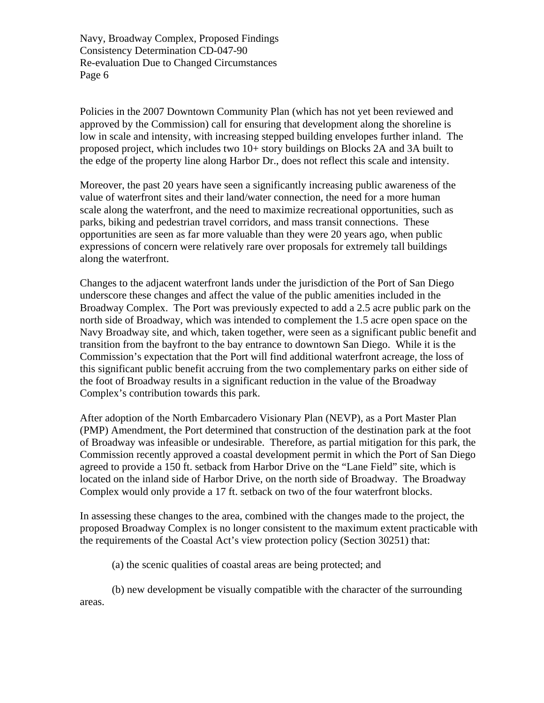Policies in the 2007 Downtown Community Plan (which has not yet been reviewed and approved by the Commission) call for ensuring that development along the shoreline is low in scale and intensity, with increasing stepped building envelopes further inland. The proposed project, which includes two 10+ story buildings on Blocks 2A and 3A built to the edge of the property line along Harbor Dr., does not reflect this scale and intensity.

Moreover, the past 20 years have seen a significantly increasing public awareness of the value of waterfront sites and their land/water connection, the need for a more human scale along the waterfront, and the need to maximize recreational opportunities, such as parks, biking and pedestrian travel corridors, and mass transit connections. These opportunities are seen as far more valuable than they were 20 years ago, when public expressions of concern were relatively rare over proposals for extremely tall buildings along the waterfront.

Changes to the adjacent waterfront lands under the jurisdiction of the Port of San Diego underscore these changes and affect the value of the public amenities included in the Broadway Complex. The Port was previously expected to add a 2.5 acre public park on the north side of Broadway, which was intended to complement the 1.5 acre open space on the Navy Broadway site, and which, taken together, were seen as a significant public benefit and transition from the bayfront to the bay entrance to downtown San Diego. While it is the Commission's expectation that the Port will find additional waterfront acreage, the loss of this significant public benefit accruing from the two complementary parks on either side of the foot of Broadway results in a significant reduction in the value of the Broadway Complex's contribution towards this park.

After adoption of the North Embarcadero Visionary Plan (NEVP), as a Port Master Plan (PMP) Amendment, the Port determined that construction of the destination park at the foot of Broadway was infeasible or undesirable. Therefore, as partial mitigation for this park, the Commission recently approved a coastal development permit in which the Port of San Diego agreed to provide a 150 ft. setback from Harbor Drive on the "Lane Field" site, which is located on the inland side of Harbor Drive, on the north side of Broadway. The Broadway Complex would only provide a 17 ft. setback on two of the four waterfront blocks.

In assessing these changes to the area, combined with the changes made to the project, the proposed Broadway Complex is no longer consistent to the maximum extent practicable with the requirements of the Coastal Act's view protection policy (Section 30251) that:

(a) the scenic qualities of coastal areas are being protected; and

(b) new development be visually compatible with the character of the surrounding areas.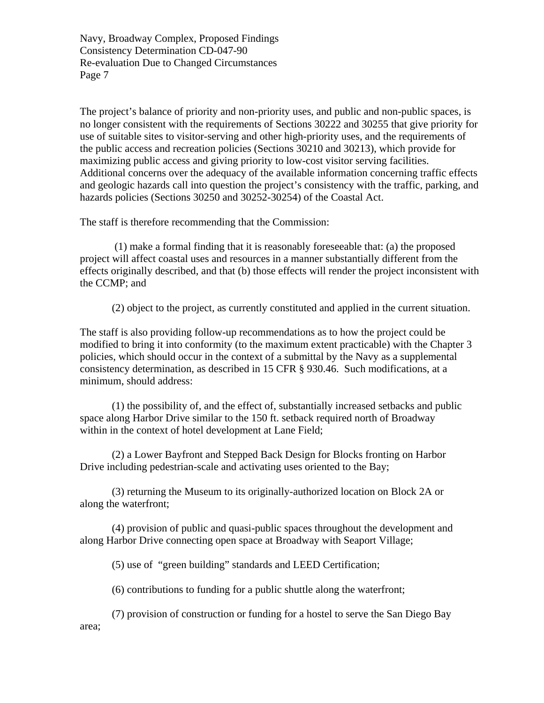The project's balance of priority and non-priority uses, and public and non-public spaces, is no longer consistent with the requirements of Sections 30222 and 30255 that give priority for use of suitable sites to visitor-serving and other high-priority uses, and the requirements of the public access and recreation policies (Sections 30210 and 30213), which provide for maximizing public access and giving priority to low-cost visitor serving facilities. Additional concerns over the adequacy of the available information concerning traffic effects and geologic hazards call into question the project's consistency with the traffic, parking, and hazards policies (Sections 30250 and 30252-30254) of the Coastal Act.

The staff is therefore recommending that the Commission:

 (1) make a formal finding that it is reasonably foreseeable that: (a) the proposed project will affect coastal uses and resources in a manner substantially different from the effects originally described, and that (b) those effects will render the project inconsistent with the CCMP; and

(2) object to the project, as currently constituted and applied in the current situation.

The staff is also providing follow-up recommendations as to how the project could be modified to bring it into conformity (to the maximum extent practicable) with the Chapter 3 policies, which should occur in the context of a submittal by the Navy as a supplemental consistency determination, as described in 15 CFR § 930.46. Such modifications, at a minimum, should address:

(1) the possibility of, and the effect of, substantially increased setbacks and public space along Harbor Drive similar to the 150 ft. setback required north of Broadway within in the context of hotel development at Lane Field;

(2) a Lower Bayfront and Stepped Back Design for Blocks fronting on Harbor Drive including pedestrian-scale and activating uses oriented to the Bay;

(3) returning the Museum to its originally-authorized location on Block 2A or along the waterfront;

(4) provision of public and quasi-public spaces throughout the development and along Harbor Drive connecting open space at Broadway with Seaport Village;

(5) use of "green building" standards and LEED Certification;

(6) contributions to funding for a public shuttle along the waterfront;

(7) provision of construction or funding for a hostel to serve the San Diego Bay area;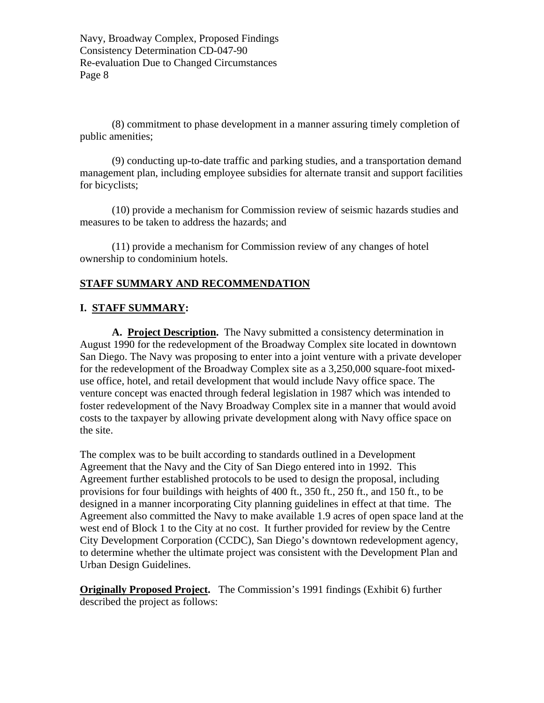(8) commitment to phase development in a manner assuring timely completion of public amenities;

(9) conducting up-to-date traffic and parking studies, and a transportation demand management plan, including employee subsidies for alternate transit and support facilities for bicyclists;

(10) provide a mechanism for Commission review of seismic hazards studies and measures to be taken to address the hazards; and

(11) provide a mechanism for Commission review of any changes of hotel ownership to condominium hotels.

#### **STAFF SUMMARY AND RECOMMENDATION**

#### **I. STAFF SUMMARY:**

**A. Project Description.** The Navy submitted a consistency determination in August 1990 for the redevelopment of the Broadway Complex site located in downtown San Diego. The Navy was proposing to enter into a joint venture with a private developer for the redevelopment of the Broadway Complex site as a 3,250,000 square-foot mixeduse office, hotel, and retail development that would include Navy office space. The venture concept was enacted through federal legislation in 1987 which was intended to foster redevelopment of the Navy Broadway Complex site in a manner that would avoid costs to the taxpayer by allowing private development along with Navy office space on the site.

The complex was to be built according to standards outlined in a Development Agreement that the Navy and the City of San Diego entered into in 1992. This Agreement further established protocols to be used to design the proposal, including provisions for four buildings with heights of 400 ft., 350 ft., 250 ft., and 150 ft., to be designed in a manner incorporating City planning guidelines in effect at that time. The Agreement also committed the Navy to make available 1.9 acres of open space land at the west end of Block 1 to the City at no cost. It further provided for review by the Centre City Development Corporation (CCDC), San Diego's downtown redevelopment agency, to determine whether the ultimate project was consistent with the Development Plan and Urban Design Guidelines.

**Originally Proposed Project.** The Commission's 1991 findings (Exhibit 6) further described the project as follows: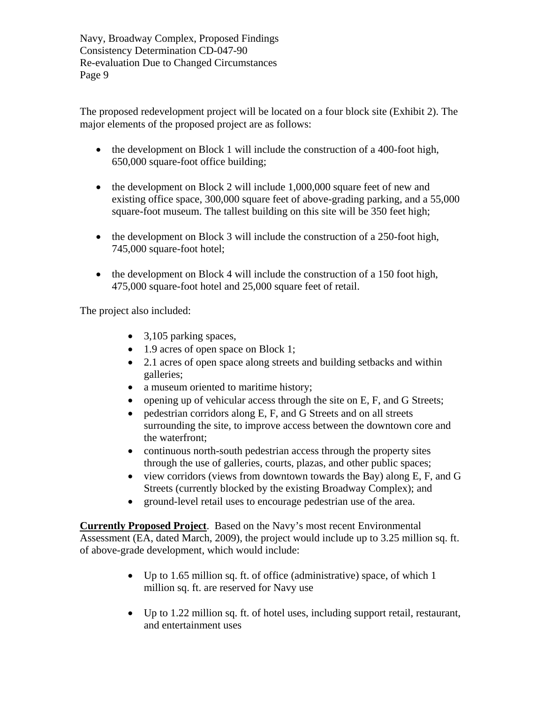The proposed redevelopment project will be located on a four block site (Exhibit 2). The major elements of the proposed project are as follows:

- the development on Block 1 will include the construction of a 400-foot high, 650,000 square-foot office building;
- $\bullet$  the development on Block 2 will include 1,000,000 square feet of new and existing office space, 300,000 square feet of above-grading parking, and a 55,000 square-foot museum. The tallest building on this site will be 350 feet high;
- $\bullet$  the development on Block 3 will include the construction of a 250-foot high, 745,000 square-foot hotel;
- $\bullet$  the development on Block 4 will include the construction of a 150 foot high, 475,000 square-foot hotel and 25,000 square feet of retail.

The project also included:

- 3,105 parking spaces,
- 1.9 acres of open space on Block 1;
- 2.1 acres of open space along streets and building setbacks and within galleries;
- a museum oriented to maritime history;
- opening up of vehicular access through the site on  $E$ ,  $F$ , and  $G$  Streets;
- pedestrian corridors along E, F, and G Streets and on all streets surrounding the site, to improve access between the downtown core and the waterfront;
- continuous north-south pedestrian access through the property sites through the use of galleries, courts, plazas, and other public spaces;
- view corridors (views from downtown towards the Bay) along E, F, and G Streets (currently blocked by the existing Broadway Complex); and
- ground-level retail uses to encourage pedestrian use of the area.

**Currently Proposed Project**. Based on the Navy's most recent Environmental Assessment (EA, dated March, 2009), the project would include up to 3.25 million sq. ft. of above-grade development, which would include:

- Up to 1.65 million sq. ft. of office (administrative) space, of which 1 million sq. ft. are reserved for Navy use
- Up to 1.22 million sq. ft. of hotel uses, including support retail, restaurant, and entertainment uses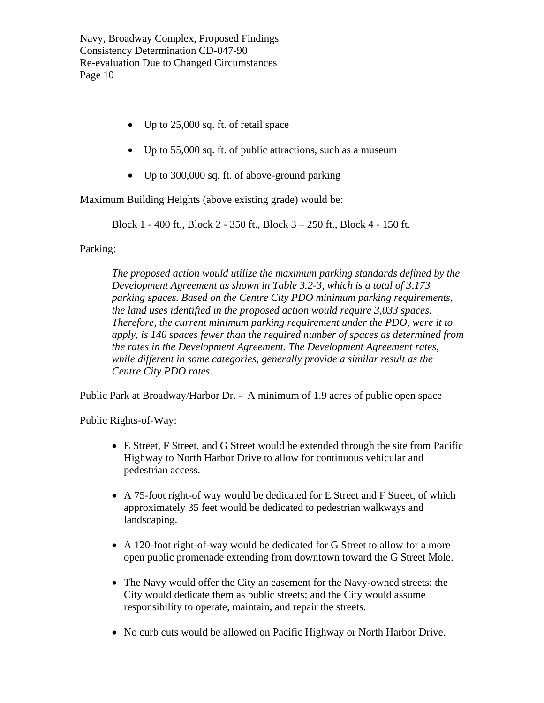- Up to 25,000 sq. ft. of retail space
- Up to 55,000 sq. ft. of public attractions, such as a museum
- Up to 300,000 sq. ft. of above-ground parking

Maximum Building Heights (above existing grade) would be:

Block 1 - 400 ft., Block 2 - 350 ft., Block 3 – 250 ft., Block 4 - 150 ft.

Parking:

*The proposed action would utilize the maximum parking standards defined by the Development Agreement as shown in Table 3.2-3, which is a total of 3,173 parking spaces. Based on the Centre City PDO minimum parking requirements, the land uses identified in the proposed action would require 3,033 spaces. Therefore, the current minimum parking requirement under the PDO, were it to apply, is 140 spaces fewer than the required number of spaces as determined from the rates in the Development Agreement. The Development Agreement rates, while different in some categories, generally provide a similar result as the Centre City PDO rates.* 

Public Park at Broadway/Harbor Dr. - A minimum of 1.9 acres of public open space

Public Rights-of-Way:

- E Street, F Street, and G Street would be extended through the site from Pacific Highway to North Harbor Drive to allow for continuous vehicular and pedestrian access.
- A 75-foot right-of way would be dedicated for E Street and F Street, of which approximately 35 feet would be dedicated to pedestrian walkways and landscaping.
- A 120-foot right-of-way would be dedicated for G Street to allow for a more open public promenade extending from downtown toward the G Street Mole.
- The Navy would offer the City an easement for the Navy-owned streets; the City would dedicate them as public streets; and the City would assume responsibility to operate, maintain, and repair the streets.
- No curb cuts would be allowed on Pacific Highway or North Harbor Drive.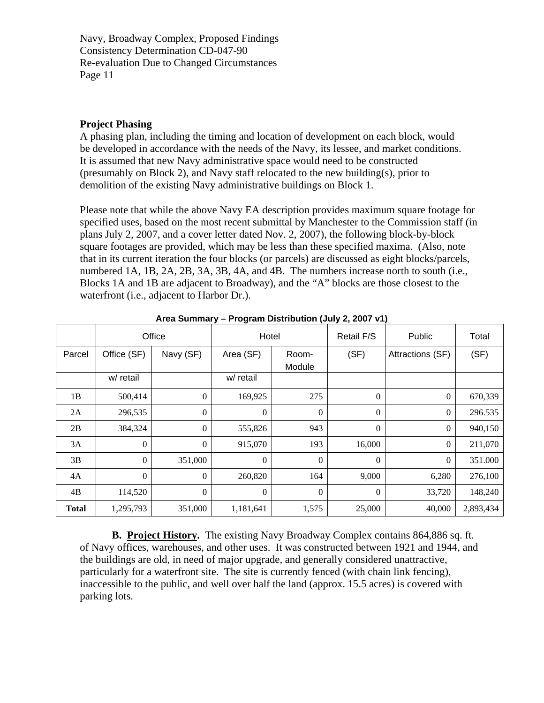#### **Project Phasing**

A phasing plan, including the timing and location of development on each block, would be developed in accordance with the needs of the Navy, its lessee, and market conditions. It is assumed that new Navy administrative space would need to be constructed (presumably on Block 2), and Navy staff relocated to the new building(s), prior to demolition of the existing Navy administrative buildings on Block 1.

Please note that while the above Navy EA description provides maximum square footage for specified uses, based on the most recent submittal by Manchester to the Commission staff (in plans July 2, 2007, and a cover letter dated Nov. 2, 2007), the following block-by-block square footages are provided, which may be less than these specified maxima. (Also, note that in its current iteration the four blocks (or parcels) are discussed as eight blocks/parcels, numbered 1A, 1B, 2A, 2B, 3A, 3B, 4A, and 4B. The numbers increase north to south (i.e., Blocks 1A and 1B are adjacent to Broadway), and the "A" blocks are those closest to the waterfront (i.e., adjacent to Harbor Dr.).

|              | Office           |                  | Hotel            |                  | Retail F/S       | Public           | Total     |
|--------------|------------------|------------------|------------------|------------------|------------------|------------------|-----------|
| Parcel       | Office (SF)      | Navy (SF)        | Area (SF)        | Room-<br>Module  | (SF)             | Attractions (SF) | (SF)      |
|              | w/ retail        |                  | w/ retail        |                  |                  |                  |           |
| 1B           | 500,414          | $\boldsymbol{0}$ | 169,925          | 275              | $\overline{0}$   | $\overline{0}$   | 670,339   |
| 2A           | 296,535          | $\theta$         | $\boldsymbol{0}$ | $\boldsymbol{0}$ | $\theta$         | $\theta$         | 296.535   |
| 2B           | 384,324          | $\boldsymbol{0}$ | 555,826          | 943              | $\theta$         | $\overline{0}$   | 940,150   |
| 3A           | $\boldsymbol{0}$ | $\boldsymbol{0}$ | 915,070          | 193              | 16,000           | $\Omega$         | 211,070   |
| 3B           | $\boldsymbol{0}$ | 351,000          | $\boldsymbol{0}$ | $\boldsymbol{0}$ | $\theta$         | $\theta$         | 351.000   |
| 4A           | $\theta$         | $\overline{0}$   | 260,820          | 164              | 9,000            | 6,280            | 276,100   |
| 4B           | 114,520          | $\boldsymbol{0}$ | $\boldsymbol{0}$ | $\boldsymbol{0}$ | $\boldsymbol{0}$ | 33,720           | 148,240   |
| <b>Total</b> | 1,295,793        | 351,000          | 1,181,641        | 1,575            | 25,000           | 40,000           | 2,893,434 |

**Area Summary – Program Distribution (July 2, 2007 v1)** 

**B. Project History.** The existing Navy Broadway Complex contains 864,886 sq. ft. of Navy offices, warehouses, and other uses. It was constructed between 1921 and 1944, and the buildings are old, in need of major upgrade, and generally considered unattractive, particularly for a waterfront site. The site is currently fenced (with chain link fencing), inaccessible to the public, and well over half the land (approx. 15.5 acres) is covered with parking lots.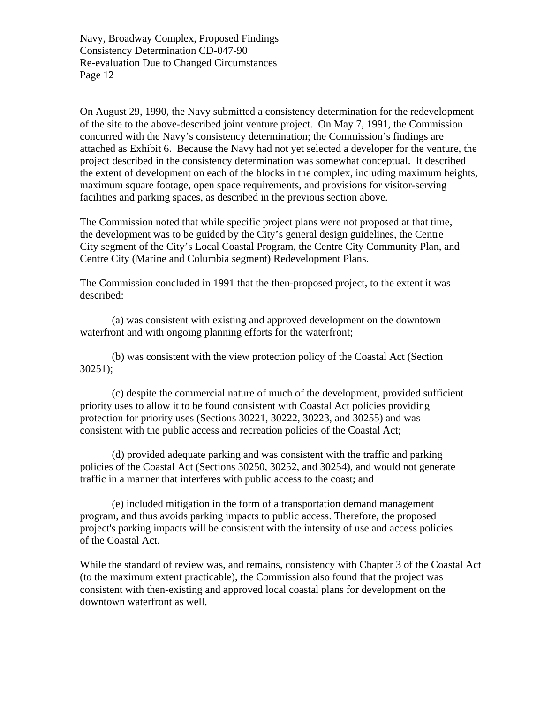On August 29, 1990, the Navy submitted a consistency determination for the redevelopment of the site to the above-described joint venture project. On May 7, 1991, the Commission concurred with the Navy's consistency determination; the Commission's findings are attached as Exhibit 6. Because the Navy had not yet selected a developer for the venture, the project described in the consistency determination was somewhat conceptual. It described the extent of development on each of the blocks in the complex, including maximum heights, maximum square footage, open space requirements, and provisions for visitor-serving facilities and parking spaces, as described in the previous section above.

The Commission noted that while specific project plans were not proposed at that time, the development was to be guided by the City's general design guidelines, the Centre City segment of the City's Local Coastal Program, the Centre City Community Plan, and Centre City (Marine and Columbia segment) Redevelopment Plans.

The Commission concluded in 1991 that the then-proposed project, to the extent it was described:

(a) was consistent with existing and approved development on the downtown waterfront and with ongoing planning efforts for the waterfront;

(b) was consistent with the view protection policy of the Coastal Act (Section  $30251$ :

 (c) despite the commercial nature of much of the development, provided sufficient priority uses to allow it to be found consistent with Coastal Act policies providing protection for priority uses (Sections 30221, 30222, 30223, and 30255) and was consistent with the public access and recreation policies of the Coastal Act;

(d) provided adequate parking and was consistent with the traffic and parking policies of the Coastal Act (Sections 30250, 30252, and 30254), and would not generate traffic in a manner that interferes with public access to the coast; and

(e) included mitigation in the form of a transportation demand management program, and thus avoids parking impacts to public access. Therefore, the proposed project's parking impacts will be consistent with the intensity of use and access policies of the Coastal Act.

While the standard of review was, and remains, consistency with Chapter 3 of the Coastal Act (to the maximum extent practicable), the Commission also found that the project was consistent with then-existing and approved local coastal plans for development on the downtown waterfront as well.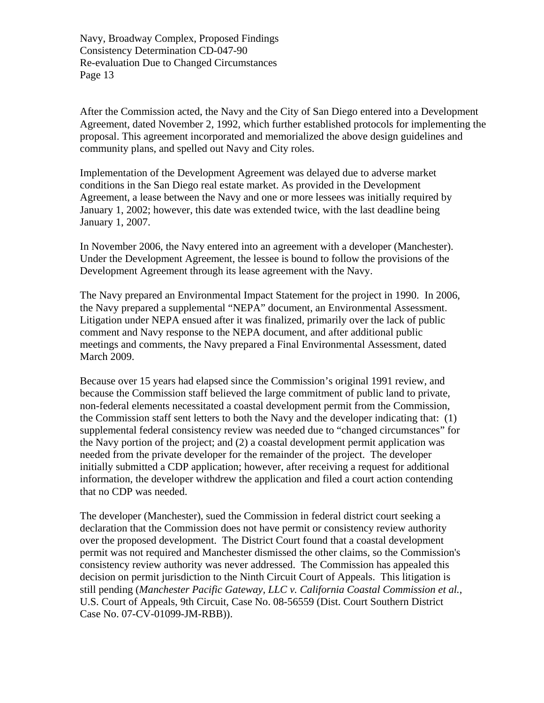After the Commission acted, the Navy and the City of San Diego entered into a Development Agreement, dated November 2, 1992, which further established protocols for implementing the proposal. This agreement incorporated and memorialized the above design guidelines and community plans, and spelled out Navy and City roles.

Implementation of the Development Agreement was delayed due to adverse market conditions in the San Diego real estate market. As provided in the Development Agreement, a lease between the Navy and one or more lessees was initially required by January 1, 2002; however, this date was extended twice, with the last deadline being January 1, 2007.

In November 2006, the Navy entered into an agreement with a developer (Manchester). Under the Development Agreement, the lessee is bound to follow the provisions of the Development Agreement through its lease agreement with the Navy.

The Navy prepared an Environmental Impact Statement for the project in 1990. In 2006, the Navy prepared a supplemental "NEPA" document, an Environmental Assessment. Litigation under NEPA ensued after it was finalized, primarily over the lack of public comment and Navy response to the NEPA document, and after additional public meetings and comments, the Navy prepared a Final Environmental Assessment, dated March 2009.

Because over 15 years had elapsed since the Commission's original 1991 review, and because the Commission staff believed the large commitment of public land to private, non-federal elements necessitated a coastal development permit from the Commission, the Commission staff sent letters to both the Navy and the developer indicating that: (1) supplemental federal consistency review was needed due to "changed circumstances" for the Navy portion of the project; and (2) a coastal development permit application was needed from the private developer for the remainder of the project. The developer initially submitted a CDP application; however, after receiving a request for additional information, the developer withdrew the application and filed a court action contending that no CDP was needed.

The developer (Manchester), sued the Commission in federal district court seeking a declaration that the Commission does not have permit or consistency review authority over the proposed development. The District Court found that a coastal development permit was not required and Manchester dismissed the other claims, so the Commission's consistency review authority was never addressed. The Commission has appealed this decision on permit jurisdiction to the Ninth Circuit Court of Appeals. This litigation is still pending (*Manchester Pacific Gateway, LLC v. California Coastal Commission et al.*, U.S. Court of Appeals, 9th Circuit, Case No. 08-56559 (Dist. Court Southern District Case No. 07-CV-01099-JM-RBB)).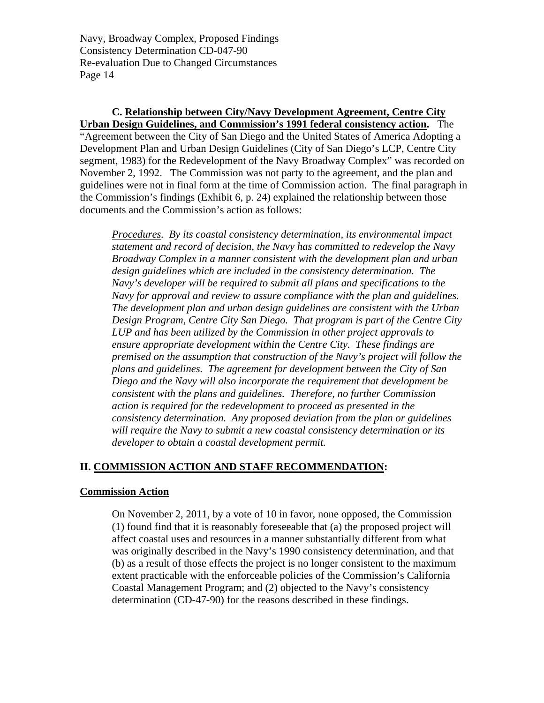## **C. Relationship between City/Navy Development Agreement, Centre City**

**Urban Design Guidelines, and Commission's 1991 federal consistency action.** The "Agreement between the City of San Diego and the United States of America Adopting a Development Plan and Urban Design Guidelines (City of San Diego's LCP, Centre City segment, 1983) for the Redevelopment of the Navy Broadway Complex" was recorded on November 2, 1992. The Commission was not party to the agreement, and the plan and guidelines were not in final form at the time of Commission action. The final paragraph in the Commission's findings (Exhibit 6, p. 24) explained the relationship between those documents and the Commission's action as follows:

*Procedures. By its coastal consistency determination, its environmental impact statement and record of decision, the Navy has committed to redevelop the Navy Broadway Complex in a manner consistent with the development plan and urban design guidelines which are included in the consistency determination. The Navy's developer will be required to submit all plans and specifications to the Navy for approval and review to assure compliance with the plan and guidelines. The development plan and urban design guidelines are consistent with the Urban Design Program, Centre City San Diego. That program is part of the Centre City LUP and has been utilized by the Commission in other project approvals to ensure appropriate development within the Centre City. These findings are premised on the assumption that construction of the Navy's project will follow the plans and guidelines. The agreement for development between the City of San Diego and the Navy will also incorporate the requirement that development be consistent with the plans and guidelines. Therefore, no further Commission action is required for the redevelopment to proceed as presented in the consistency determination. Any proposed deviation from the plan or guidelines will require the Navy to submit a new coastal consistency determination or its developer to obtain a coastal development permit.* 

#### **II. COMMISSION ACTION AND STAFF RECOMMENDATION:**

#### **Commission Action**

On November 2, 2011, by a vote of 10 in favor, none opposed, the Commission (1) found find that it is reasonably foreseeable that (a) the proposed project will affect coastal uses and resources in a manner substantially different from what was originally described in the Navy's 1990 consistency determination, and that (b) as a result of those effects the project is no longer consistent to the maximum extent practicable with the enforceable policies of the Commission's California Coastal Management Program; and (2) objected to the Navy's consistency determination (CD-47-90) for the reasons described in these findings.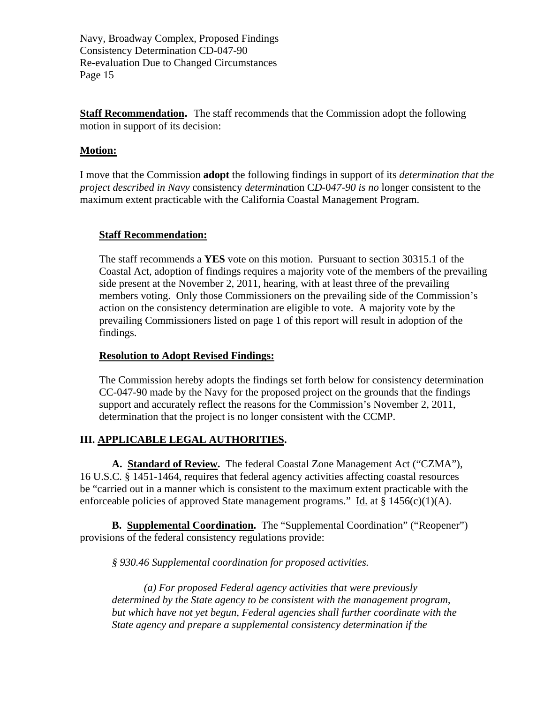**Staff Recommendation.** The staff recommends that the Commission adopt the following motion in support of its decision:

#### **Motion:**

I move that the Commission **adopt** the following findings in support of its *determination that the project described in Navy* consistency *determina*tion C*D*-0*47-90 is no* longer consistent to the maximum extent practicable with the California Coastal Management Program.

#### **Staff Recommendation:**

The staff recommends a **YES** vote on this motion. Pursuant to section 30315.1 of the Coastal Act, adoption of findings requires a majority vote of the members of the prevailing side present at the November 2, 2011, hearing, with at least three of the prevailing members voting. Only those Commissioners on the prevailing side of the Commission's action on the consistency determination are eligible to vote. A majority vote by the prevailing Commissioners listed on page 1 of this report will result in adoption of the findings.

#### **Resolution to Adopt Revised Findings:**

The Commission hereby adopts the findings set forth below for consistency determination CC-047-90 made by the Navy for the proposed project on the grounds that the findings support and accurately reflect the reasons for the Commission's November 2, 2011, determination that the project is no longer consistent with the CCMP.

#### **III. APPLICABLE LEGAL AUTHORITIES.**

**A. Standard of Review.** The federal Coastal Zone Management Act ("CZMA"), 16 U.S.C. § 1451-1464, requires that federal agency activities affecting coastal resources be "carried out in a manner which is consistent to the maximum extent practicable with the enforceable policies of approved State management programs." Id. at  $\S 1456(c)(1)(A)$ .

**B. Supplemental Coordination.** The "Supplemental Coordination" ("Reopener") provisions of the federal consistency regulations provide:

*§ 930.46 Supplemental coordination for proposed activities.* 

*(a) For proposed Federal agency activities that were previously determined by the State agency to be consistent with the management program, but which have not yet begun, Federal agencies shall further coordinate with the State agency and prepare a supplemental consistency determination if the*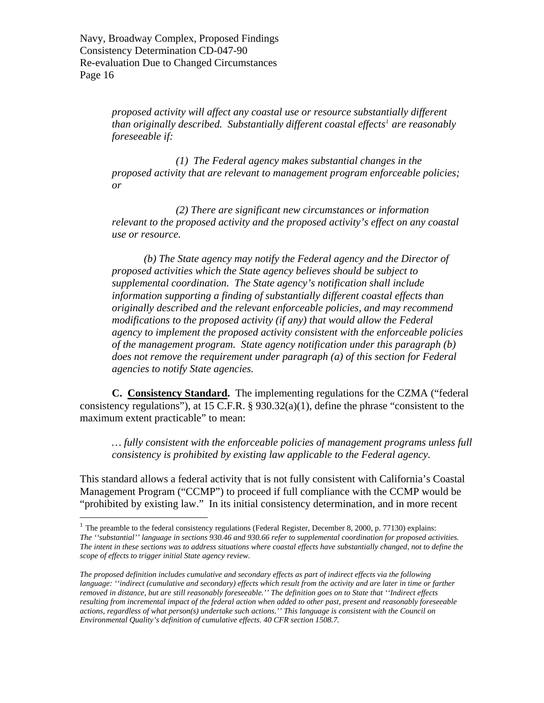$\overline{a}$ 

*proposed activity will affect any coastal use or resource substantially different than originally described. Substantially different coastal effects[1](#page-15-0) are reasonably foreseeable if:* 

 *(1) The Federal agency makes substantial changes in the proposed activity that are relevant to management program enforceable policies; or* 

 *(2) There are significant new circumstances or information relevant to the proposed activity and the proposed activity's effect on any coastal use or resource.* 

*(b) The State agency may notify the Federal agency and the Director of proposed activities which the State agency believes should be subject to supplemental coordination. The State agency's notification shall include information supporting a finding of substantially different coastal effects than originally described and the relevant enforceable policies, and may recommend modifications to the proposed activity (if any) that would allow the Federal agency to implement the proposed activity consistent with the enforceable policies of the management program. State agency notification under this paragraph (b) does not remove the requirement under paragraph (a) of this section for Federal agencies to notify State agencies.* 

**C. Consistency Standard.** The implementing regulations for the CZMA ("federal consistency regulations"), at 15 C.F.R. § 930.32(a)(1), define the phrase "consistent to the maximum extent practicable" to mean:

*… fully consistent with the enforceable policies of management programs unless full consistency is prohibited by existing law applicable to the Federal agency.* 

This standard allows a federal activity that is not fully consistent with California's Coastal Management Program ("CCMP") to proceed if full compliance with the CCMP would be "prohibited by existing law." In its initial consistency determination, and in more recent

<span id="page-15-0"></span><sup>&</sup>lt;sup>1</sup> The preamble to the federal consistency regulations (Federal Register, December 8, 2000, p. 77130) explains: *The ''substantial'' language in sections 930.46 and 930.66 refer to supplemental coordination for proposed activities. The intent in these sections was to address situations where coastal effects have substantially changed, not to define the scope of effects to trigger initial State agency review.* 

*The proposed definition includes cumulative and secondary effects as part of indirect effects via the following language: ''indirect (cumulative and secondary) effects which result from the activity and are later in time or farther removed in distance, but are still reasonably foreseeable.'' The definition goes on to State that ''Indirect effects resulting from incremental impact of the federal action when added to other past, present and reasonably foreseeable actions, regardless of what person(s) undertake such actions.'' This language is consistent with the Council on Environmental Quality's definition of cumulative effects. 40 CFR section 1508.7.*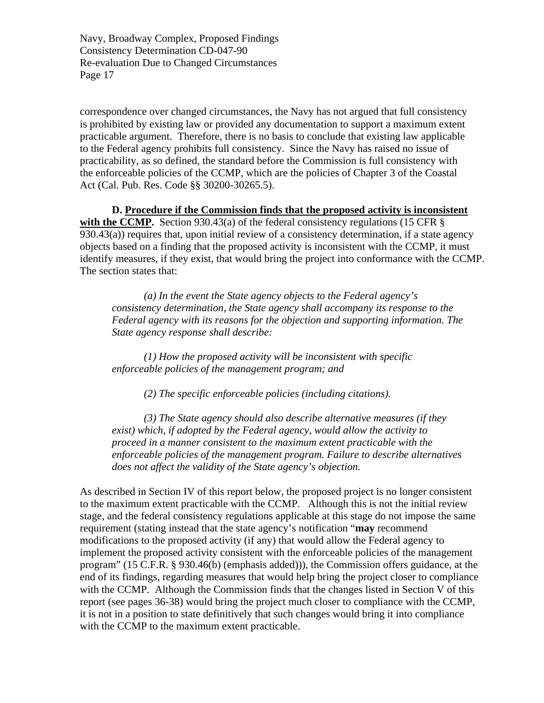correspondence over changed circumstances, the Navy has not argued that full consistency is prohibited by existing law or provided any documentation to support a maximum extent practicable argument. Therefore, there is no basis to conclude that existing law applicable to the Federal agency prohibits full consistency. Since the Navy has raised no issue of practicability, as so defined, the standard before the Commission is full consistency with the enforceable policies of the CCMP, which are the policies of Chapter 3 of the Coastal Act (Cal. Pub. Res. Code §§ 30200-30265.5).

**D. Procedure if the Commission finds that the proposed activity is inconsistent** with the CCMP. Section 930.43(a) of the federal consistency regulations (15 CFR § 930.43(a)) requires that, upon initial review of a consistency determination, if a state agency objects based on a finding that the proposed activity is inconsistent with the CCMP, it must identify measures, if they exist, that would bring the project into conformance with the CCMP. The section states that:

*(a) In the event the State agency objects to the Federal agency's consistency determination, the State agency shall accompany its response to the Federal agency with its reasons for the objection and supporting information. The State agency response shall describe:* 

 *(1) How the proposed activity will be inconsistent with specific enforceable policies of the management program; and* 

 *(2) The specific enforceable policies (including citations).* 

 *(3) The State agency should also describe alternative measures (if they exist) which, if adopted by the Federal agency, would allow the activity to proceed in a manner consistent to the maximum extent practicable with the enforceable policies of the management program. Failure to describe alternatives does not affect the validity of the State agency's objection.* 

As described in Section IV of this report below, the proposed project is no longer consistent to the maximum extent practicable with the CCMP. Although this is not the initial review stage, and the federal consistency regulations applicable at this stage do not impose the same requirement (stating instead that the state agency's notification "**may** recommend modifications to the proposed activity (if any) that would allow the Federal agency to implement the proposed activity consistent with the enforceable policies of the management program" (15 C.F.R. § 930.46(b) (emphasis added))), the Commission offers guidance, at the end of its findings, regarding measures that would help bring the project closer to compliance with the CCMP. Although the Commission finds that the changes listed in Section V of this report (see pages 36-38) would bring the project much closer to compliance with the CCMP, it is not in a position to state definitively that such changes would bring it into compliance with the CCMP to the maximum extent practicable.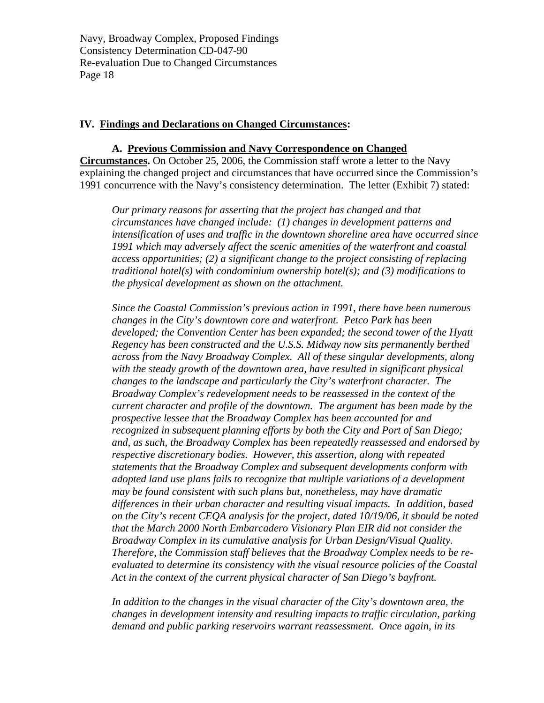#### **IV. Findings and Declarations on Changed Circumstances:**

#### **A. Previous Commission and Navy Correspondence on Changed**

**Circumstances.** On October 25, 2006, the Commission staff wrote a letter to the Navy explaining the changed project and circumstances that have occurred since the Commission's 1991 concurrence with the Navy's consistency determination. The letter (Exhibit 7) stated:

*Our primary reasons for asserting that the project has changed and that circumstances have changed include: (1) changes in development patterns and intensification of uses and traffic in the downtown shoreline area have occurred since 1991 which may adversely affect the scenic amenities of the waterfront and coastal access opportunities; (2) a significant change to the project consisting of replacing traditional hotel(s) with condominium ownership hotel(s); and (3) modifications to the physical development as shown on the attachment.* 

*Since the Coastal Commission's previous action in 1991, there have been numerous changes in the City's downtown core and waterfront. Petco Park has been developed; the Convention Center has been expanded; the second tower of the Hyatt Regency has been constructed and the U.S.S. Midway now sits permanently berthed across from the Navy Broadway Complex. All of these singular developments, along with the steady growth of the downtown area, have resulted in significant physical changes to the landscape and particularly the City's waterfront character. The Broadway Complex's redevelopment needs to be reassessed in the context of the current character and profile of the downtown. The argument has been made by the prospective lessee that the Broadway Complex has been accounted for and recognized in subsequent planning efforts by both the City and Port of San Diego; and, as such, the Broadway Complex has been repeatedly reassessed and endorsed by respective discretionary bodies. However, this assertion, along with repeated statements that the Broadway Complex and subsequent developments conform with adopted land use plans fails to recognize that multiple variations of a development may be found consistent with such plans but, nonetheless, may have dramatic differences in their urban character and resulting visual impacts. In addition, based on the City's recent CEQA analysis for the project, dated 10/19/06, it should be noted that the March 2000 North Embarcadero Visionary Plan EIR did not consider the Broadway Complex in its cumulative analysis for Urban Design/Visual Quality. Therefore, the Commission staff believes that the Broadway Complex needs to be reevaluated to determine its consistency with the visual resource policies of the Coastal Act in the context of the current physical character of San Diego's bayfront.* 

In addition to the changes in the visual character of the City's downtown area, the *changes in development intensity and resulting impacts to traffic circulation, parking demand and public parking reservoirs warrant reassessment. Once again, in its*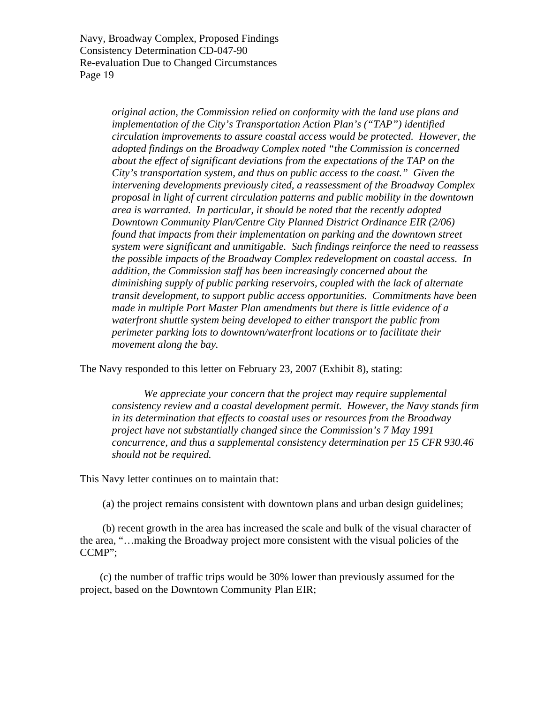> *original action, the Commission relied on conformity with the land use plans and implementation of the City's Transportation Action Plan's ("TAP") identified circulation improvements to assure coastal access would be protected. However, the adopted findings on the Broadway Complex noted "the Commission is concerned about the effect of significant deviations from the expectations of the TAP on the City's transportation system, and thus on public access to the coast." Given the intervening developments previously cited, a reassessment of the Broadway Complex proposal in light of current circulation patterns and public mobility in the downtown area is warranted. In particular, it should be noted that the recently adopted Downtown Community Plan/Centre City Planned District Ordinance EIR (2/06) found that impacts from their implementation on parking and the downtown street system were significant and unmitigable. Such findings reinforce the need to reassess the possible impacts of the Broadway Complex redevelopment on coastal access. In addition, the Commission staff has been increasingly concerned about the diminishing supply of public parking reservoirs, coupled with the lack of alternate transit development, to support public access opportunities. Commitments have been made in multiple Port Master Plan amendments but there is little evidence of a waterfront shuttle system being developed to either transport the public from perimeter parking lots to downtown/waterfront locations or to facilitate their movement along the bay.*

The Navy responded to this letter on February 23, 2007 (Exhibit 8), stating:

 *We appreciate your concern that the project may require supplemental consistency review and a coastal development permit. However, the Navy stands firm in its determination that effects to coastal uses or resources from the Broadway project have not substantially changed since the Commission's 7 May 1991 concurrence, and thus a supplemental consistency determination per 15 CFR 930.46 should not be required.* 

This Navy letter continues on to maintain that:

(a) the project remains consistent with downtown plans and urban design guidelines;

 (b) recent growth in the area has increased the scale and bulk of the visual character of the area, "…making the Broadway project more consistent with the visual policies of the CCMP";

 (c) the number of traffic trips would be 30% lower than previously assumed for the project, based on the Downtown Community Plan EIR;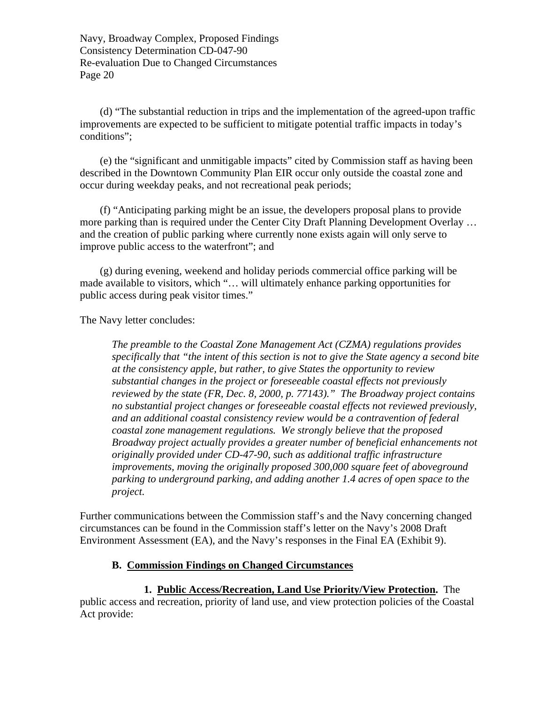(d) "The substantial reduction in trips and the implementation of the agreed-upon traffic improvements are expected to be sufficient to mitigate potential traffic impacts in today's conditions";

 (e) the "significant and unmitigable impacts" cited by Commission staff as having been described in the Downtown Community Plan EIR occur only outside the coastal zone and occur during weekday peaks, and not recreational peak periods;

 (f) "Anticipating parking might be an issue, the developers proposal plans to provide more parking than is required under the Center City Draft Planning Development Overlay … and the creation of public parking where currently none exists again will only serve to improve public access to the waterfront"; and

 (g) during evening, weekend and holiday periods commercial office parking will be made available to visitors, which "… will ultimately enhance parking opportunities for public access during peak visitor times."

The Navy letter concludes:

*The preamble to the Coastal Zone Management Act (CZMA) regulations provides specifically that "the intent of this section is not to give the State agency a second bite at the consistency apple, but rather, to give States the opportunity to review substantial changes in the project or foreseeable coastal effects not previously reviewed by the state (FR, Dec. 8, 2000, p. 77143)." The Broadway project contains no substantial project changes or foreseeable coastal effects not reviewed previously, and an additional coastal consistency review would be a contravention of federal coastal zone management regulations. We strongly believe that the proposed Broadway project actually provides a greater number of beneficial enhancements not originally provided under CD-47-90, such as additional traffic infrastructure improvements, moving the originally proposed 300,000 square feet of aboveground parking to underground parking, and adding another 1.4 acres of open space to the project.* 

Further communications between the Commission staff's and the Navy concerning changed circumstances can be found in the Commission staff's letter on the Navy's 2008 Draft Environment Assessment (EA), and the Navy's responses in the Final EA (Exhibit 9).

#### **B. Commission Findings on Changed Circumstances**

#### **1. Public Access/Recreation, Land Use Priority/View Protection.** The

public access and recreation, priority of land use, and view protection policies of the Coastal Act provide: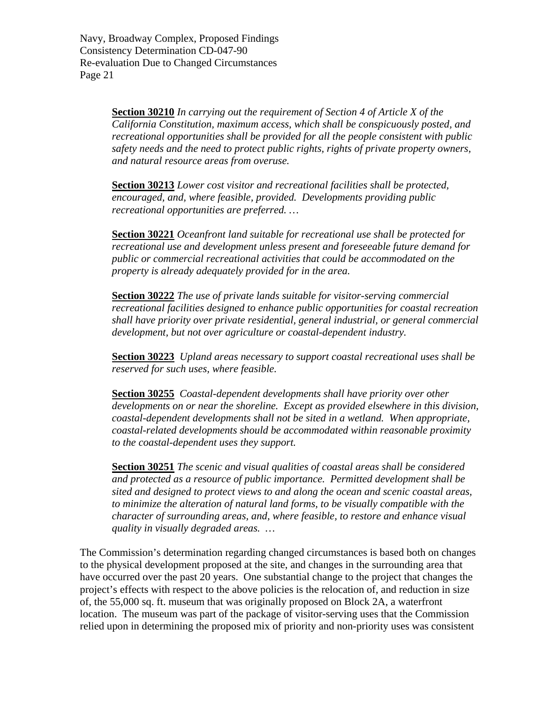> **Section 30210** *In carrying out the requirement of [Section 4 of Article X of the](http://www.leginfo.ca.gov/calaw.html)  [California Constitution](http://www.leginfo.ca.gov/calaw.html), maximum access, which shall be conspicuously posted, and recreational opportunities shall be provided for all the people consistent with public safety needs and the need to protect public rights, rights of private property owners, and natural resource areas from overuse.*

**Section 30213** *Lower cost visitor and recreational facilities shall be protected, encouraged, and, where feasible, provided. Developments providing public recreational opportunities are preferred. …* 

**Section 30221** *Oceanfront land suitable for recreational use shall be protected for recreational use and development unless present and foreseeable future demand for public or commercial recreational activities that could be accommodated on the property is already adequately provided for in the area.* 

**Section 30222** *The use of private lands suitable for visitor-serving commercial recreational facilities designed to enhance public opportunities for coastal recreation shall have priority over private residential, general industrial, or general commercial development, but not over agriculture or coastal-dependent industry.* 

**Section 30223** *Upland areas necessary to support coastal recreational uses shall be reserved for such uses, where feasible.* 

**Section 30255** *Coastal-dependent developments shall have priority over other developments on or near the shoreline. Except as provided elsewhere in this division, coastal-dependent developments shall not be sited in a wetland. When appropriate, coastal-related developments should be accommodated within reasonable proximity to the coastal-dependent uses they support.* 

**Section 30251** *The scenic and visual qualities of coastal areas shall be considered and protected as a resource of public importance. Permitted development shall be sited and designed to protect views to and along the ocean and scenic coastal areas, to minimize the alteration of natural land forms, to be visually compatible with the character of surrounding areas, and, where feasible, to restore and enhance visual quality in visually degraded areas. …* 

The Commission's determination regarding changed circumstances is based both on changes to the physical development proposed at the site, and changes in the surrounding area that have occurred over the past 20 years. One substantial change to the project that changes the project's effects with respect to the above policies is the relocation of, and reduction in size of, the 55,000 sq. ft. museum that was originally proposed on Block 2A, a waterfront location. The museum was part of the package of visitor-serving uses that the Commission relied upon in determining the proposed mix of priority and non-priority uses was consistent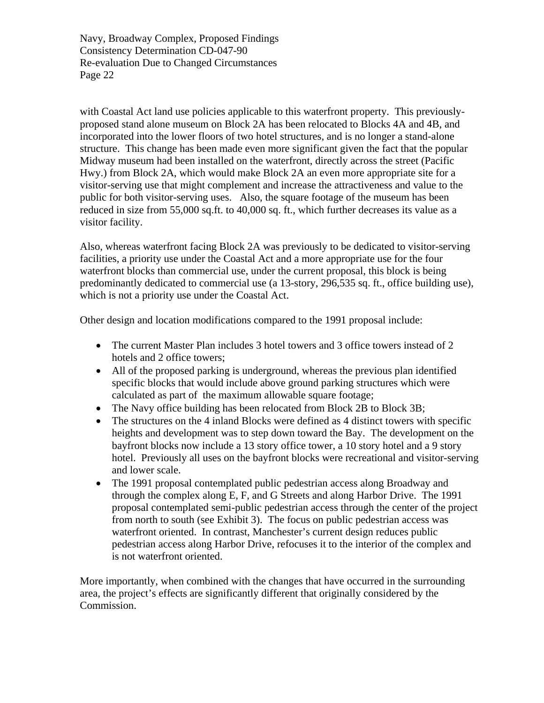with Coastal Act land use policies applicable to this waterfront property. This previouslyproposed stand alone museum on Block 2A has been relocated to Blocks 4A and 4B, and incorporated into the lower floors of two hotel structures, and is no longer a stand-alone structure. This change has been made even more significant given the fact that the popular Midway museum had been installed on the waterfront, directly across the street (Pacific Hwy.) from Block 2A, which would make Block 2A an even more appropriate site for a visitor-serving use that might complement and increase the attractiveness and value to the public for both visitor-serving uses. Also, the square footage of the museum has been reduced in size from 55,000 sq.ft. to 40,000 sq. ft., which further decreases its value as a visitor facility.

Also, whereas waterfront facing Block 2A was previously to be dedicated to visitor-serving facilities, a priority use under the Coastal Act and a more appropriate use for the four waterfront blocks than commercial use, under the current proposal, this block is being predominantly dedicated to commercial use (a 13-story, 296,535 sq. ft., office building use), which is not a priority use under the Coastal Act.

Other design and location modifications compared to the 1991 proposal include:

- The current Master Plan includes 3 hotel towers and 3 office towers instead of 2 hotels and 2 office towers;
- All of the proposed parking is underground, whereas the previous plan identified specific blocks that would include above ground parking structures which were calculated as part of the maximum allowable square footage;
- The Navy office building has been relocated from Block 2B to Block 3B;
- The structures on the 4 inland Blocks were defined as 4 distinct towers with specific heights and development was to step down toward the Bay. The development on the bayfront blocks now include a 13 story office tower, a 10 story hotel and a 9 story hotel. Previously all uses on the bayfront blocks were recreational and visitor-serving and lower scale.
- The 1991 proposal contemplated public pedestrian access along Broadway and through the complex along E, F, and G Streets and along Harbor Drive. The 1991 proposal contemplated semi-public pedestrian access through the center of the project from north to south (see Exhibit 3). The focus on public pedestrian access was waterfront oriented. In contrast, Manchester's current design reduces public pedestrian access along Harbor Drive, refocuses it to the interior of the complex and is not waterfront oriented.

More importantly, when combined with the changes that have occurred in the surrounding area, the project's effects are significantly different that originally considered by the Commission.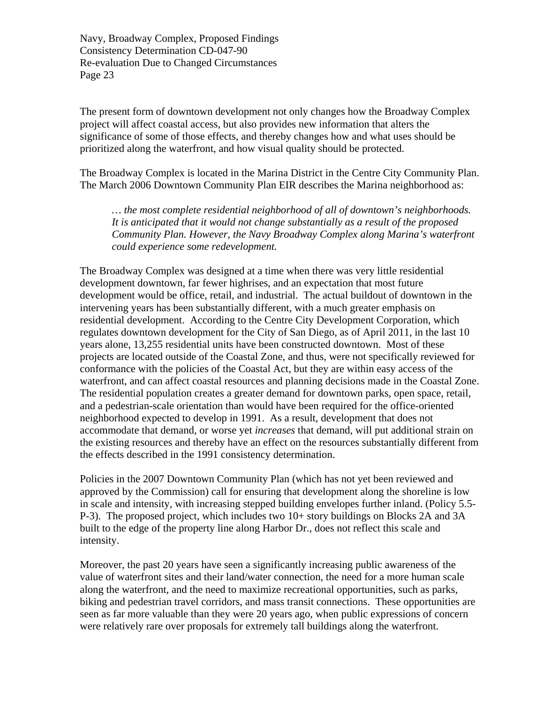The present form of downtown development not only changes how the Broadway Complex project will affect coastal access, but also provides new information that alters the significance of some of those effects, and thereby changes how and what uses should be prioritized along the waterfront, and how visual quality should be protected.

The Broadway Complex is located in the Marina District in the Centre City Community Plan. The March 2006 Downtown Community Plan EIR describes the Marina neighborhood as:

*… the most complete residential neighborhood of all of downtown's neighborhoods. It is anticipated that it would not change substantially as a result of the proposed Community Plan. However, the Navy Broadway Complex along Marina's waterfront could experience some redevelopment.* 

The Broadway Complex was designed at a time when there was very little residential development downtown, far fewer highrises, and an expectation that most future development would be office, retail, and industrial. The actual buildout of downtown in the intervening years has been substantially different, with a much greater emphasis on residential development. According to the Centre City Development Corporation, which regulates downtown development for the City of San Diego, as of April 2011, in the last 10 years alone, 13,255 residential units have been constructed downtown. Most of these projects are located outside of the Coastal Zone, and thus, were not specifically reviewed for conformance with the policies of the Coastal Act, but they are within easy access of the waterfront, and can affect coastal resources and planning decisions made in the Coastal Zone. The residential population creates a greater demand for downtown parks, open space, retail, and a pedestrian-scale orientation than would have been required for the office-oriented neighborhood expected to develop in 1991. As a result, development that does not accommodate that demand, or worse yet *increases* that demand, will put additional strain on the existing resources and thereby have an effect on the resources substantially different from the effects described in the 1991 consistency determination.

Policies in the 2007 Downtown Community Plan (which has not yet been reviewed and approved by the Commission) call for ensuring that development along the shoreline is low in scale and intensity, with increasing stepped building envelopes further inland. (Policy 5.5- P-3). The proposed project, which includes two 10+ story buildings on Blocks 2A and 3A built to the edge of the property line along Harbor Dr., does not reflect this scale and intensity.

Moreover, the past 20 years have seen a significantly increasing public awareness of the value of waterfront sites and their land/water connection, the need for a more human scale along the waterfront, and the need to maximize recreational opportunities, such as parks, biking and pedestrian travel corridors, and mass transit connections. These opportunities are seen as far more valuable than they were 20 years ago, when public expressions of concern were relatively rare over proposals for extremely tall buildings along the waterfront.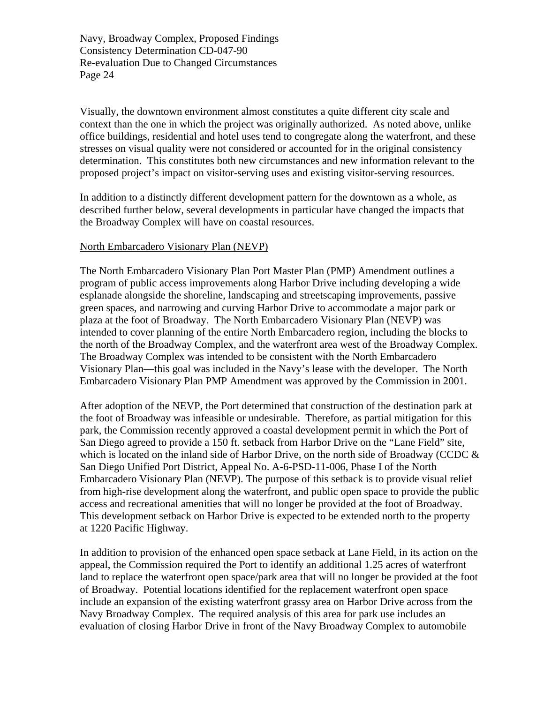Visually, the downtown environment almost constitutes a quite different city scale and context than the one in which the project was originally authorized. As noted above, unlike office buildings, residential and hotel uses tend to congregate along the waterfront, and these stresses on visual quality were not considered or accounted for in the original consistency determination. This constitutes both new circumstances and new information relevant to the proposed project's impact on visitor-serving uses and existing visitor-serving resources.

In addition to a distinctly different development pattern for the downtown as a whole, as described further below, several developments in particular have changed the impacts that the Broadway Complex will have on coastal resources.

#### North Embarcadero Visionary Plan (NEVP)

The North Embarcadero Visionary Plan Port Master Plan (PMP) Amendment outlines a program of public access improvements along Harbor Drive including developing a wide esplanade alongside the shoreline, landscaping and streetscaping improvements, passive green spaces, and narrowing and curving Harbor Drive to accommodate a major park or plaza at the foot of Broadway. The North Embarcadero Visionary Plan (NEVP) was intended to cover planning of the entire North Embarcadero region, including the blocks to the north of the Broadway Complex, and the waterfront area west of the Broadway Complex. The Broadway Complex was intended to be consistent with the North Embarcadero Visionary Plan—this goal was included in the Navy's lease with the developer. The North Embarcadero Visionary Plan PMP Amendment was approved by the Commission in 2001.

After adoption of the NEVP, the Port determined that construction of the destination park at the foot of Broadway was infeasible or undesirable. Therefore, as partial mitigation for this park, the Commission recently approved a coastal development permit in which the Port of San Diego agreed to provide a 150 ft. setback from Harbor Drive on the "Lane Field" site, which is located on the inland side of Harbor Drive, on the north side of Broadway (CCDC  $\&$ San Diego Unified Port District, Appeal No. A-6-PSD-11-006, Phase I of the North Embarcadero Visionary Plan (NEVP). The purpose of this setback is to provide visual relief from high-rise development along the waterfront, and public open space to provide the public access and recreational amenities that will no longer be provided at the foot of Broadway. This development setback on Harbor Drive is expected to be extended north to the property at 1220 Pacific Highway.

In addition to provision of the enhanced open space setback at Lane Field, in its action on the appeal, the Commission required the Port to identify an additional 1.25 acres of waterfront land to replace the waterfront open space/park area that will no longer be provided at the foot of Broadway. Potential locations identified for the replacement waterfront open space include an expansion of the existing waterfront grassy area on Harbor Drive across from the Navy Broadway Complex. The required analysis of this area for park use includes an evaluation of closing Harbor Drive in front of the Navy Broadway Complex to automobile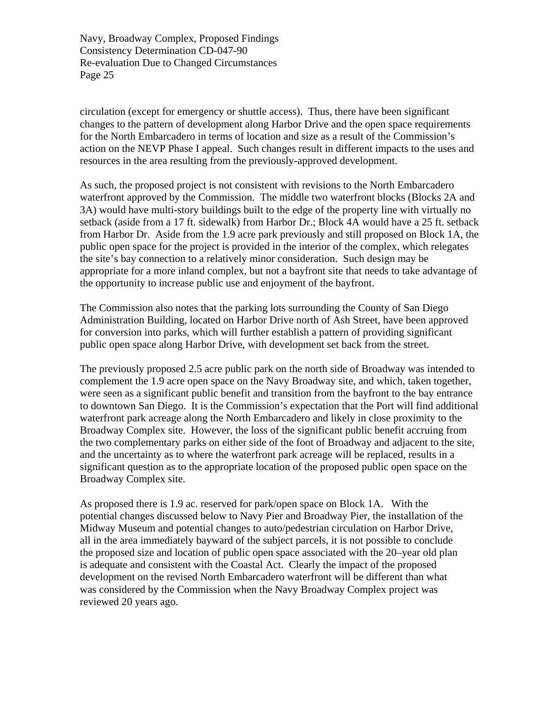circulation (except for emergency or shuttle access). Thus, there have been significant changes to the pattern of development along Harbor Drive and the open space requirements for the North Embarcadero in terms of location and size as a result of the Commission's action on the NEVP Phase I appeal. Such changes result in different impacts to the uses and resources in the area resulting from the previously-approved development.

As such, the proposed project is not consistent with revisions to the North Embarcadero waterfront approved by the Commission. The middle two waterfront blocks (Blocks 2A and 3A) would have multi-story buildings built to the edge of the property line with virtually no setback (aside from a 17 ft. sidewalk) from Harbor Dr.; Block 4A would have a 25 ft. setback from Harbor Dr. Aside from the 1.9 acre park previously and still proposed on Block 1A, the public open space for the project is provided in the interior of the complex, which relegates the site's bay connection to a relatively minor consideration. Such design may be appropriate for a more inland complex, but not a bayfront site that needs to take advantage of the opportunity to increase public use and enjoyment of the bayfront.

The Commission also notes that the parking lots surrounding the County of San Diego Administration Building, located on Harbor Drive north of Ash Street, have been approved for conversion into parks, which will further establish a pattern of providing significant public open space along Harbor Drive, with development set back from the street.

The previously proposed 2.5 acre public park on the north side of Broadway was intended to complement the 1.9 acre open space on the Navy Broadway site, and which, taken together, were seen as a significant public benefit and transition from the bayfront to the bay entrance to downtown San Diego. It is the Commission's expectation that the Port will find additional waterfront park acreage along the North Embarcadero and likely in close proximity to the Broadway Complex site. However, the loss of the significant public benefit accruing from the two complementary parks on either side of the foot of Broadway and adjacent to the site, and the uncertainty as to where the waterfront park acreage will be replaced, results in a significant question as to the appropriate location of the proposed public open space on the Broadway Complex site.

As proposed there is 1.9 ac. reserved for park/open space on Block 1A. With the potential changes discussed below to Navy Pier and Broadway Pier, the installation of the Midway Museum and potential changes to auto/pedestrian circulation on Harbor Drive, all in the area immediately bayward of the subject parcels, it is not possible to conclude the proposed size and location of public open space associated with the 20–year old plan is adequate and consistent with the Coastal Act. Clearly the impact of the proposed development on the revised North Embarcadero waterfront will be different than what was considered by the Commission when the Navy Broadway Complex project was reviewed 20 years ago.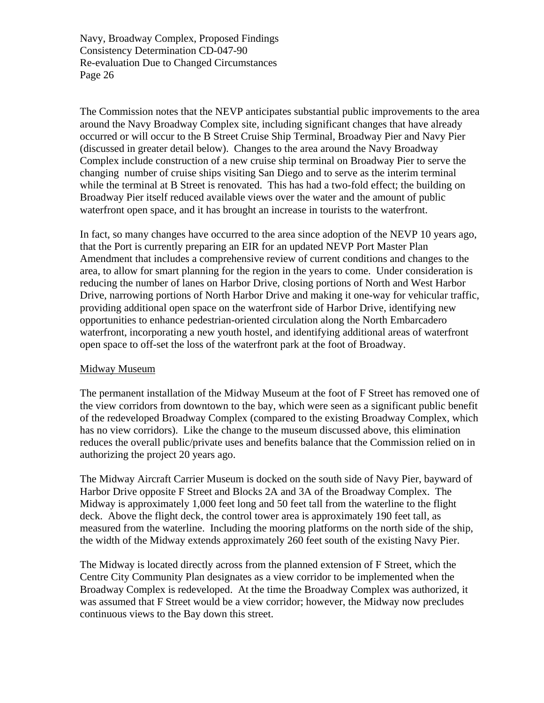The Commission notes that the NEVP anticipates substantial public improvements to the area around the Navy Broadway Complex site, including significant changes that have already occurred or will occur to the B Street Cruise Ship Terminal, Broadway Pier and Navy Pier (discussed in greater detail below). Changes to the area around the Navy Broadway Complex include construction of a new cruise ship terminal on Broadway Pier to serve the changing number of cruise ships visiting San Diego and to serve as the interim terminal while the terminal at B Street is renovated. This has had a two-fold effect; the building on Broadway Pier itself reduced available views over the water and the amount of public waterfront open space, and it has brought an increase in tourists to the waterfront.

In fact, so many changes have occurred to the area since adoption of the NEVP 10 years ago, that the Port is currently preparing an EIR for an updated NEVP Port Master Plan Amendment that includes a comprehensive review of current conditions and changes to the area, to allow for smart planning for the region in the years to come. Under consideration is reducing the number of lanes on Harbor Drive, closing portions of North and West Harbor Drive, narrowing portions of North Harbor Drive and making it one-way for vehicular traffic, providing additional open space on the waterfront side of Harbor Drive, identifying new opportunities to enhance pedestrian-oriented circulation along the North Embarcadero waterfront, incorporating a new youth hostel, and identifying additional areas of waterfront open space to off-set the loss of the waterfront park at the foot of Broadway.

#### Midway Museum

The permanent installation of the Midway Museum at the foot of F Street has removed one of the view corridors from downtown to the bay, which were seen as a significant public benefit of the redeveloped Broadway Complex (compared to the existing Broadway Complex, which has no view corridors). Like the change to the museum discussed above, this elimination reduces the overall public/private uses and benefits balance that the Commission relied on in authorizing the project 20 years ago.

The Midway Aircraft Carrier Museum is docked on the south side of Navy Pier, bayward of Harbor Drive opposite F Street and Blocks 2A and 3A of the Broadway Complex. The Midway is approximately 1,000 feet long and 50 feet tall from the waterline to the flight deck. Above the flight deck, the control tower area is approximately 190 feet tall, as measured from the waterline. Including the mooring platforms on the north side of the ship, the width of the Midway extends approximately 260 feet south of the existing Navy Pier.

The Midway is located directly across from the planned extension of F Street, which the Centre City Community Plan designates as a view corridor to be implemented when the Broadway Complex is redeveloped. At the time the Broadway Complex was authorized, it was assumed that F Street would be a view corridor; however, the Midway now precludes continuous views to the Bay down this street.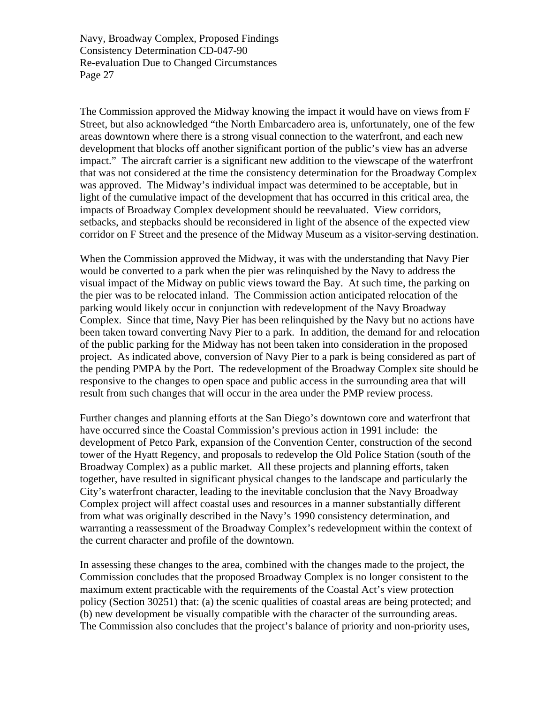The Commission approved the Midway knowing the impact it would have on views from F Street, but also acknowledged "the North Embarcadero area is, unfortunately, one of the few areas downtown where there is a strong visual connection to the waterfront, and each new development that blocks off another significant portion of the public's view has an adverse impact." The aircraft carrier is a significant new addition to the viewscape of the waterfront that was not considered at the time the consistency determination for the Broadway Complex was approved. The Midway's individual impact was determined to be acceptable, but in light of the cumulative impact of the development that has occurred in this critical area, the impacts of Broadway Complex development should be reevaluated. View corridors, setbacks, and stepbacks should be reconsidered in light of the absence of the expected view corridor on F Street and the presence of the Midway Museum as a visitor-serving destination.

When the Commission approved the Midway, it was with the understanding that Navy Pier would be converted to a park when the pier was relinquished by the Navy to address the visual impact of the Midway on public views toward the Bay. At such time, the parking on the pier was to be relocated inland. The Commission action anticipated relocation of the parking would likely occur in conjunction with redevelopment of the Navy Broadway Complex. Since that time, Navy Pier has been relinquished by the Navy but no actions have been taken toward converting Navy Pier to a park. In addition, the demand for and relocation of the public parking for the Midway has not been taken into consideration in the proposed project. As indicated above, conversion of Navy Pier to a park is being considered as part of the pending PMPA by the Port. The redevelopment of the Broadway Complex site should be responsive to the changes to open space and public access in the surrounding area that will result from such changes that will occur in the area under the PMP review process.

Further changes and planning efforts at the San Diego's downtown core and waterfront that have occurred since the Coastal Commission's previous action in 1991 include: the development of Petco Park, expansion of the Convention Center, construction of the second tower of the Hyatt Regency, and proposals to redevelop the Old Police Station (south of the Broadway Complex) as a public market. All these projects and planning efforts, taken together, have resulted in significant physical changes to the landscape and particularly the City's waterfront character, leading to the inevitable conclusion that the Navy Broadway Complex project will affect coastal uses and resources in a manner substantially different from what was originally described in the Navy's 1990 consistency determination, and warranting a reassessment of the Broadway Complex's redevelopment within the context of the current character and profile of the downtown.

In assessing these changes to the area, combined with the changes made to the project, the Commission concludes that the proposed Broadway Complex is no longer consistent to the maximum extent practicable with the requirements of the Coastal Act's view protection policy (Section 30251) that: (a) the scenic qualities of coastal areas are being protected; and (b) new development be visually compatible with the character of the surrounding areas. The Commission also concludes that the project's balance of priority and non-priority uses,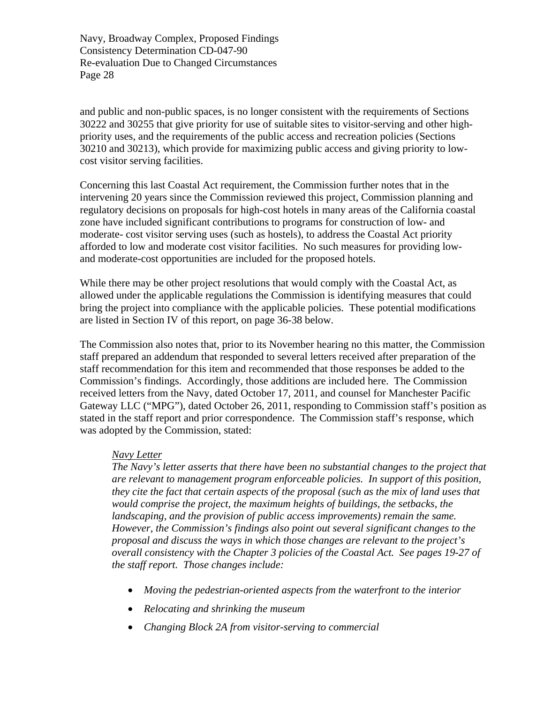and public and non-public spaces, is no longer consistent with the requirements of Sections 30222 and 30255 that give priority for use of suitable sites to visitor-serving and other highpriority uses, and the requirements of the public access and recreation policies (Sections 30210 and 30213), which provide for maximizing public access and giving priority to lowcost visitor serving facilities.

Concerning this last Coastal Act requirement, the Commission further notes that in the intervening 20 years since the Commission reviewed this project, Commission planning and regulatory decisions on proposals for high-cost hotels in many areas of the California coastal zone have included significant contributions to programs for construction of low- and moderate- cost visitor serving uses (such as hostels), to address the Coastal Act priority afforded to low and moderate cost visitor facilities. No such measures for providing lowand moderate-cost opportunities are included for the proposed hotels.

While there may be other project resolutions that would comply with the Coastal Act, as allowed under the applicable regulations the Commission is identifying measures that could bring the project into compliance with the applicable policies. These potential modifications are listed in Section IV of this report, on page 36-38 below.

The Commission also notes that, prior to its November hearing no this matter, the Commission staff prepared an addendum that responded to several letters received after preparation of the staff recommendation for this item and recommended that those responses be added to the Commission's findings. Accordingly, those additions are included here. The Commission received letters from the Navy, dated October 17, 2011, and counsel for Manchester Pacific Gateway LLC ("MPG"), dated October 26, 2011, responding to Commission staff's position as stated in the staff report and prior correspondence. The Commission staff's response, which was adopted by the Commission, stated:

#### *Navy Letter*

*The Navy's letter asserts that there have been no substantial changes to the project that are relevant to management program enforceable policies. In support of this position, they cite the fact that certain aspects of the proposal (such as the mix of land uses that would comprise the project, the maximum heights of buildings, the setbacks, the landscaping, and the provision of public access improvements) remain the same. However, the Commission's findings also point out several significant changes to the proposal and discuss the ways in which those changes are relevant to the project's overall consistency with the Chapter 3 policies of the Coastal Act. See pages 19-27 of the staff report. Those changes include:* 

- *Moving the pedestrian-oriented aspects from the waterfront to the interior*
- *Relocating and shrinking the museum*
- *Changing Block 2A from visitor-serving to commercial*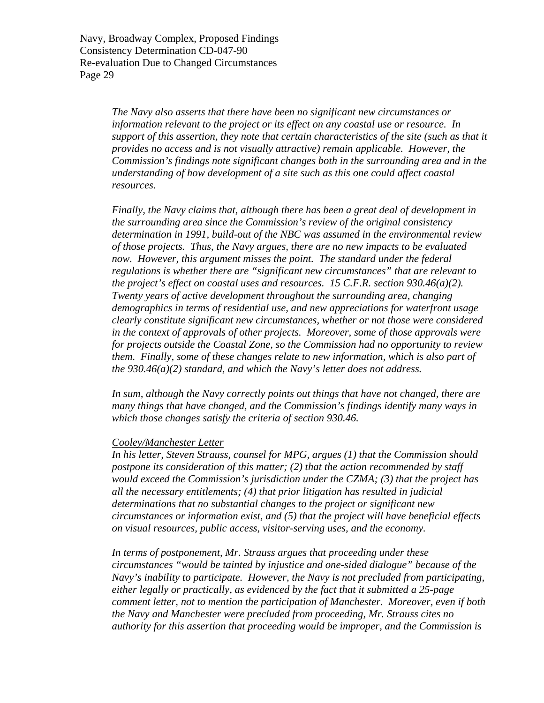> *The Navy also asserts that there have been no significant new circumstances or information relevant to the project or its effect on any coastal use or resource. In support of this assertion, they note that certain characteristics of the site (such as that it provides no access and is not visually attractive) remain applicable. However, the Commission's findings note significant changes both in the surrounding area and in the understanding of how development of a site such as this one could affect coastal resources.*

*Finally, the Navy claims that, although there has been a great deal of development in the surrounding area since the Commission's review of the original consistency determination in 1991, build-out of the NBC was assumed in the environmental review of those projects. Thus, the Navy argues, there are no new impacts to be evaluated now. However, this argument misses the point. The standard under the federal regulations is whether there are "significant new circumstances" that are relevant to the project's effect on coastal uses and resources. 15 C.F.R. section 930.46(a)(2). Twenty years of active development throughout the surrounding area, changing demographics in terms of residential use, and new appreciations for waterfront usage clearly constitute significant new circumstances, whether or not those were considered in the context of approvals of other projects. Moreover, some of those approvals were for projects outside the Coastal Zone, so the Commission had no opportunity to review them. Finally, some of these changes relate to new information, which is also part of the 930.46(a)(2) standard, and which the Navy's letter does not address.* 

*In sum, although the Navy correctly points out things that have not changed, there are many things that have changed, and the Commission's findings identify many ways in which those changes satisfy the criteria of section 930.46.* 

#### *Cooley/Manchester Letter*

*In his letter, Steven Strauss, counsel for MPG, argues (1) that the Commission should postpone its consideration of this matter; (2) that the action recommended by staff would exceed the Commission's jurisdiction under the CZMA; (3) that the project has all the necessary entitlements; (4) that prior litigation has resulted in judicial determinations that no substantial changes to the project or significant new circumstances or information exist, and (5) that the project will have beneficial effects on visual resources, public access, visitor-serving uses, and the economy.* 

*In terms of postponement, Mr. Strauss argues that proceeding under these circumstances "would be tainted by injustice and one-sided dialogue" because of the Navy's inability to participate. However, the Navy is not precluded from participating, either legally or practically, as evidenced by the fact that it submitted a 25-page comment letter, not to mention the participation of Manchester. Moreover, even if both the Navy and Manchester were precluded from proceeding, Mr. Strauss cites no authority for this assertion that proceeding would be improper, and the Commission is*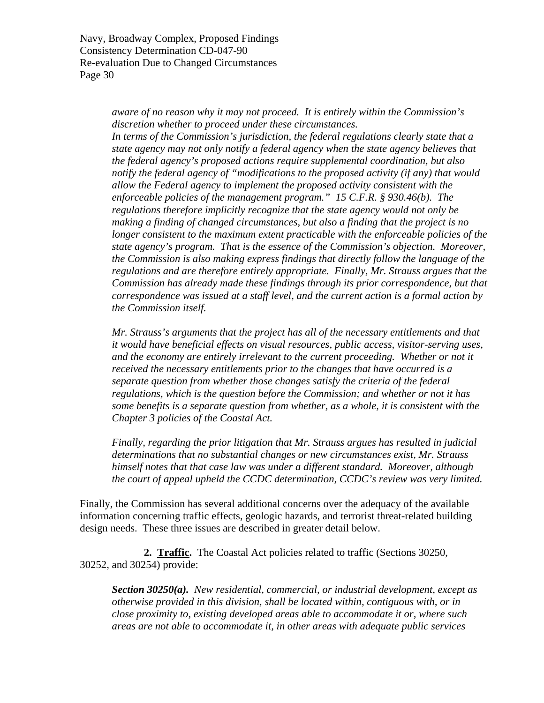> *aware of no reason why it may not proceed. It is entirely within the Commission's discretion whether to proceed under these circumstances. In terms of the Commission's jurisdiction, the federal regulations clearly state that a state agency may not only notify a federal agency when the state agency believes that the federal agency's proposed actions require supplemental coordination, but also notify the federal agency of "modifications to the proposed activity (if any) that would allow the Federal agency to implement the proposed activity consistent with the enforceable policies of the management program." 15 C.F.R. § 930.46(b). The regulations therefore implicitly recognize that the state agency would not only be making a finding of changed circumstances, but also a finding that the project is no longer consistent to the maximum extent practicable with the enforceable policies of the state agency's program. That is the essence of the Commission's objection. Moreover, the Commission is also making express findings that directly follow the language of the regulations and are therefore entirely appropriate. Finally, Mr. Strauss argues that the Commission has already made these findings through its prior correspondence, but that correspondence was issued at a staff level, and the current action is a formal action by the Commission itself.*

*Mr. Strauss's arguments that the project has all of the necessary entitlements and that it would have beneficial effects on visual resources, public access, visitor-serving uses, and the economy are entirely irrelevant to the current proceeding. Whether or not it received the necessary entitlements prior to the changes that have occurred is a separate question from whether those changes satisfy the criteria of the federal regulations, which is the question before the Commission; and whether or not it has some benefits is a separate question from whether, as a whole, it is consistent with the Chapter 3 policies of the Coastal Act.* 

*Finally, regarding the prior litigation that Mr. Strauss argues has resulted in judicial determinations that no substantial changes or new circumstances exist, Mr. Strauss himself notes that that case law was under a different standard. Moreover, although the court of appeal upheld the CCDC determination, CCDC's review was very limited.* 

Finally, the Commission has several additional concerns over the adequacy of the available information concerning traffic effects, geologic hazards, and terrorist threat-related building design needs. These three issues are described in greater detail below.

**2. Traffic.** The Coastal Act policies related to traffic (Sections 30250, 30252, and 30254) provide:

*Section 30250(a). New residential, commercial, or industrial development, except as otherwise provided in this division, shall be located within, contiguous with, or in close proximity to, existing developed areas able to accommodate it or, where such areas are not able to accommodate it, in other areas with adequate public services*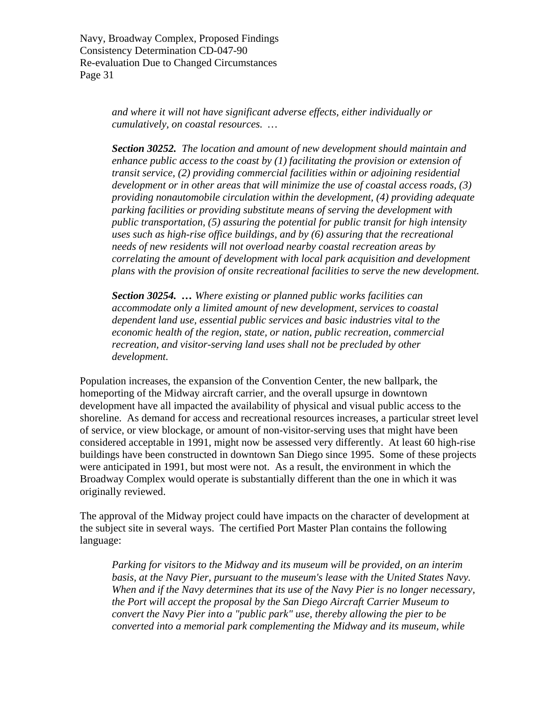> *and where it will not have significant adverse effects, either individually or cumulatively, on coastal resources. …*

*Section 30252. The location and amount of new development should maintain and enhance public access to the coast by (1) facilitating the provision or extension of transit service, (2) providing commercial facilities within or adjoining residential development or in other areas that will minimize the use of coastal access roads, (3) providing nonautomobile circulation within the development, (4) providing adequate parking facilities or providing substitute means of serving the development with public transportation, (5) assuring the potential for public transit for high intensity uses such as high-rise office buildings, and by (6) assuring that the recreational needs of new residents will not overload nearby coastal recreation areas by correlating the amount of development with local park acquisition and development plans with the provision of onsite recreational facilities to serve the new development.* 

*Section 30254. … Where existing or planned public works facilities can accommodate only a limited amount of new development, services to coastal dependent land use, essential public services and basic industries vital to the economic health of the region, state, or nation, public recreation, commercial recreation, and visitor-serving land uses shall not be precluded by other development.* 

Population increases, the expansion of the Convention Center, the new ballpark, the homeporting of the Midway aircraft carrier, and the overall upsurge in downtown development have all impacted the availability of physical and visual public access to the shoreline. As demand for access and recreational resources increases, a particular street level of service, or view blockage, or amount of non-visitor-serving uses that might have been considered acceptable in 1991, might now be assessed very differently. At least 60 high-rise buildings have been constructed in downtown San Diego since 1995. Some of these projects were anticipated in 1991, but most were not. As a result, the environment in which the Broadway Complex would operate is substantially different than the one in which it was originally reviewed.

The approval of the Midway project could have impacts on the character of development at the subject site in several ways. The certified Port Master Plan contains the following language:

*Parking for visitors to the Midway and its museum will be provided, on an interim basis, at the Navy Pier, pursuant to the museum's lease with the United States Navy. When and if the Navy determines that its use of the Navy Pier is no longer necessary, the Port will accept the proposal by the San Diego Aircraft Carrier Museum to convert the Navy Pier into a "public park" use, thereby allowing the pier to be converted into a memorial park complementing the Midway and its museum, while*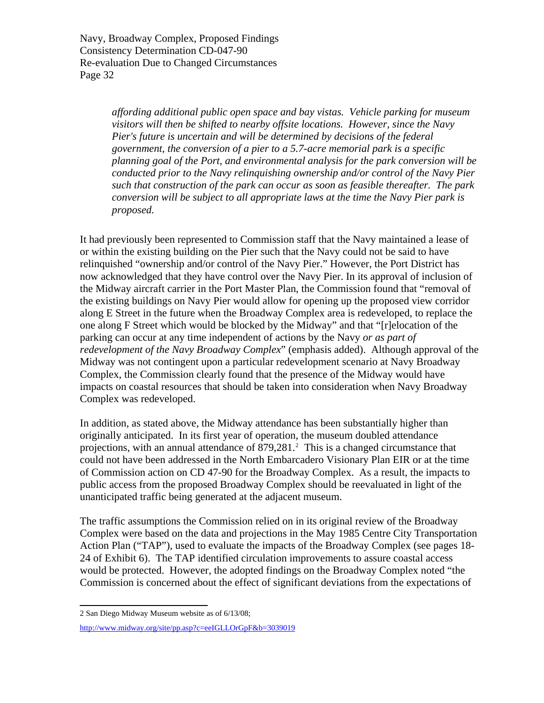> *affording additional public open space and bay vistas. Vehicle parking for museum visitors will then be shifted to nearby offsite locations. However, since the Navy Pier's future is uncertain and will be determined by decisions of the federal government, the conversion of a pier to a 5.7-acre memorial park is a specific planning goal of the Port, and environmental analysis for the park conversion will be conducted prior to the Navy relinquishing ownership and/or control of the Navy Pier such that construction of the park can occur as soon as feasible thereafter. The park conversion will be subject to all appropriate laws at the time the Navy Pier park is proposed.*

It had previously been represented to Commission staff that the Navy maintained a lease of or within the existing building on the Pier such that the Navy could not be said to have relinquished "ownership and/or control of the Navy Pier." However, the Port District has now acknowledged that they have control over the Navy Pier. In its approval of inclusion of the Midway aircraft carrier in the Port Master Plan, the Commission found that "removal of the existing buildings on Navy Pier would allow for opening up the proposed view corridor along E Street in the future when the Broadway Complex area is redeveloped, to replace the one along F Street which would be blocked by the Midway" and that "[r]elocation of the parking can occur at any time independent of actions by the Navy *or as part of redevelopment of the Navy Broadway Complex*" (emphasis added). Although approval of the Midway was not contingent upon a particular redevelopment scenario at Navy Broadway Complex, the Commission clearly found that the presence of the Midway would have impacts on coastal resources that should be taken into consideration when Navy Broadway Complex was redeveloped.

In addition, as stated above, the Midway attendance has been substantially higher than originally anticipated. In its first year of operation, the museum doubled attendance projections, with an annual attendance of  $879,281$  $879,281$  $879,281$ .<sup>2</sup> This is a changed circumstance that could not have been addressed in the North Embarcadero Visionary Plan EIR or at the time of Commission action on CD 47-90 for the Broadway Complex. As a result, the impacts to public access from the proposed Broadway Complex should be reevaluated in light of the unanticipated traffic being generated at the adjacent museum.

The traffic assumptions the Commission relied on in its original review of the Broadway Complex were based on the data and projections in the May 1985 Centre City Transportation Action Plan ("TAP"), used to evaluate the impacts of the Broadway Complex (see pages 18- 24 of Exhibit 6). The TAP identified circulation improvements to assure coastal access would be protected. However, the adopted findings on the Broadway Complex noted "the Commission is concerned about the effect of significant deviations from the expectations of

 $\overline{a}$ 2 San Diego Midway Museum website as of 6/13/08;

<span id="page-31-0"></span><http://www.midway.org/site/pp.asp?c=eeIGLLOrGpF&b=3039019>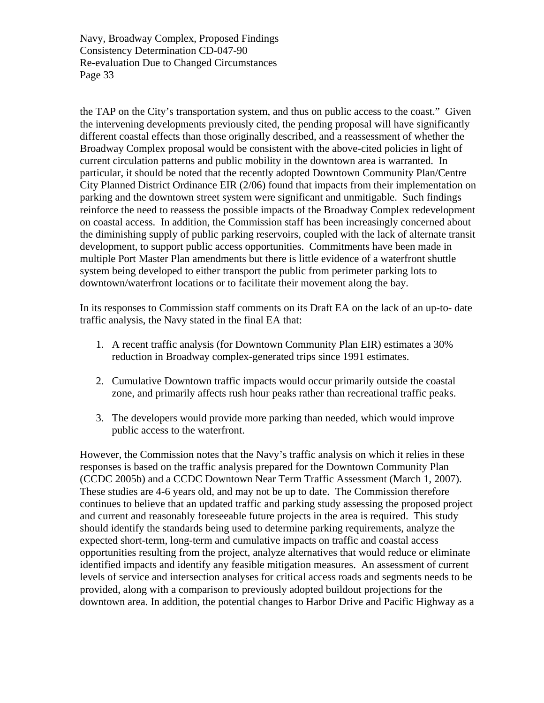the TAP on the City's transportation system, and thus on public access to the coast." Given the intervening developments previously cited, the pending proposal will have significantly different coastal effects than those originally described, and a reassessment of whether the Broadway Complex proposal would be consistent with the above-cited policies in light of current circulation patterns and public mobility in the downtown area is warranted. In particular, it should be noted that the recently adopted Downtown Community Plan/Centre City Planned District Ordinance EIR (2/06) found that impacts from their implementation on parking and the downtown street system were significant and unmitigable. Such findings reinforce the need to reassess the possible impacts of the Broadway Complex redevelopment on coastal access. In addition, the Commission staff has been increasingly concerned about the diminishing supply of public parking reservoirs, coupled with the lack of alternate transit development, to support public access opportunities. Commitments have been made in multiple Port Master Plan amendments but there is little evidence of a waterfront shuttle system being developed to either transport the public from perimeter parking lots to downtown/waterfront locations or to facilitate their movement along the bay.

In its responses to Commission staff comments on its Draft EA on the lack of an up-to- date traffic analysis, the Navy stated in the final EA that:

- 1. A recent traffic analysis (for Downtown Community Plan EIR) estimates a 30% reduction in Broadway complex-generated trips since 1991 estimates.
- 2. Cumulative Downtown traffic impacts would occur primarily outside the coastal zone, and primarily affects rush hour peaks rather than recreational traffic peaks.
- 3. The developers would provide more parking than needed, which would improve public access to the waterfront.

However, the Commission notes that the Navy's traffic analysis on which it relies in these responses is based on the traffic analysis prepared for the Downtown Community Plan (CCDC 2005b) and a CCDC Downtown Near Term Traffic Assessment (March 1, 2007). These studies are 4-6 years old, and may not be up to date. The Commission therefore continues to believe that an updated traffic and parking study assessing the proposed project and current and reasonably foreseeable future projects in the area is required. This study should identify the standards being used to determine parking requirements, analyze the expected short-term, long-term and cumulative impacts on traffic and coastal access opportunities resulting from the project, analyze alternatives that would reduce or eliminate identified impacts and identify any feasible mitigation measures. An assessment of current levels of service and intersection analyses for critical access roads and segments needs to be provided, along with a comparison to previously adopted buildout projections for the downtown area. In addition, the potential changes to Harbor Drive and Pacific Highway as a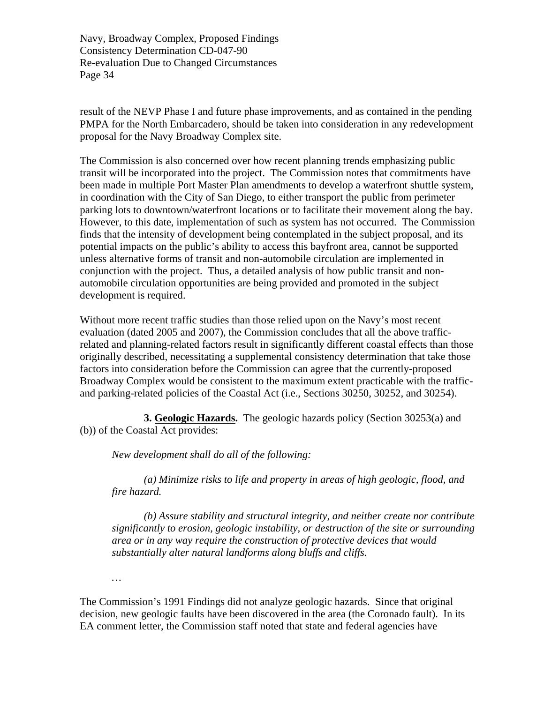result of the NEVP Phase I and future phase improvements, and as contained in the pending PMPA for the North Embarcadero, should be taken into consideration in any redevelopment proposal for the Navy Broadway Complex site.

The Commission is also concerned over how recent planning trends emphasizing public transit will be incorporated into the project. The Commission notes that commitments have been made in multiple Port Master Plan amendments to develop a waterfront shuttle system, in coordination with the City of San Diego, to either transport the public from perimeter parking lots to downtown/waterfront locations or to facilitate their movement along the bay. However, to this date, implementation of such as system has not occurred. The Commission finds that the intensity of development being contemplated in the subject proposal, and its potential impacts on the public's ability to access this bayfront area, cannot be supported unless alternative forms of transit and non-automobile circulation are implemented in conjunction with the project. Thus, a detailed analysis of how public transit and nonautomobile circulation opportunities are being provided and promoted in the subject development is required.

Without more recent traffic studies than those relied upon on the Navy's most recent evaluation (dated 2005 and 2007), the Commission concludes that all the above trafficrelated and planning-related factors result in significantly different coastal effects than those originally described, necessitating a supplemental consistency determination that take those factors into consideration before the Commission can agree that the currently-proposed Broadway Complex would be consistent to the maximum extent practicable with the trafficand parking-related policies of the Coastal Act (i.e., Sections 30250, 30252, and 30254).

**3. Geologic Hazards.** The geologic hazards policy (Section 30253(a) and (b)) of the Coastal Act provides:

*New development shall do all of the following:* 

 *(a) Minimize risks to life and property in areas of high geologic, flood, and fire hazard.* 

 *(b) Assure stability and structural integrity, and neither create nor contribute significantly to erosion, geologic instability, or destruction of the site or surrounding area or in any way require the construction of protective devices that would substantially alter natural landforms along bluffs and cliffs.* 

*…* 

The Commission's 1991 Findings did not analyze geologic hazards. Since that original decision, new geologic faults have been discovered in the area (the Coronado fault). In its EA comment letter, the Commission staff noted that state and federal agencies have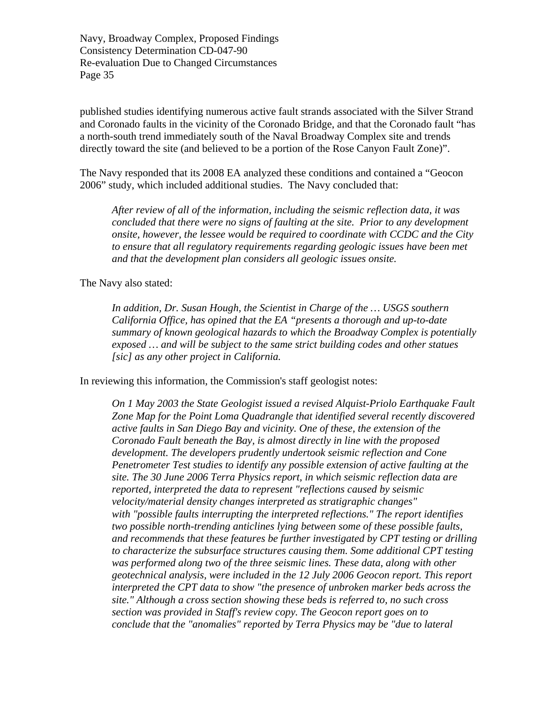published studies identifying numerous active fault strands associated with the Silver Strand and Coronado faults in the vicinity of the Coronado Bridge, and that the Coronado fault "has a north-south trend immediately south of the Naval Broadway Complex site and trends directly toward the site (and believed to be a portion of the Rose Canyon Fault Zone)".

The Navy responded that its 2008 EA analyzed these conditions and contained a "Geocon 2006" study, which included additional studies. The Navy concluded that:

*After review of all of the information, including the seismic reflection data, it was concluded that there were no signs of faulting at the site. Prior to any development onsite, however, the lessee would be required to coordinate with CCDC and the City to ensure that all regulatory requirements regarding geologic issues have been met and that the development plan considers all geologic issues onsite.* 

The Navy also stated:

*In addition, Dr. Susan Hough, the Scientist in Charge of the … USGS southern California Office, has opined that the EA "presents a thorough and up-to-date summary of known geological hazards to which the Broadway Complex is potentially exposed … and will be subject to the same strict building codes and other statues [sic] as any other project in California.* 

In reviewing this information, the Commission's staff geologist notes:

*On 1 May 2003 the State Geologist issued a revised Alquist-Priolo Earthquake Fault Zone Map for the Point Loma Quadrangle that identified several recently discovered active faults in San Diego Bay and vicinity. One of these, the extension of the Coronado Fault beneath the Bay, is almost directly in line with the proposed development. The developers prudently undertook seismic reflection and Cone Penetrometer Test studies to identify any possible extension of active faulting at the site. The 30 June 2006 Terra Physics report, in which seismic reflection data are reported, interpreted the data to represent "reflections caused by seismic velocity/material density changes interpreted as stratigraphic changes" with "possible faults interrupting the interpreted reflections." The report identifies two possible north-trending anticlines lying between some of these possible faults, and recommends that these features be further investigated by CPT testing or drilling to characterize the subsurface structures causing them. Some additional CPT testing was performed along two of the three seismic lines. These data, along with other geotechnical analysis, were included in the 12 July 2006 Geocon report. This report interpreted the CPT data to show "the presence of unbroken marker beds across the site." Although a cross section showing these beds is referred to, no such cross section was provided in Staff's review copy. The Geocon report goes on to conclude that the "anomalies" reported by Terra Physics may be "due to lateral*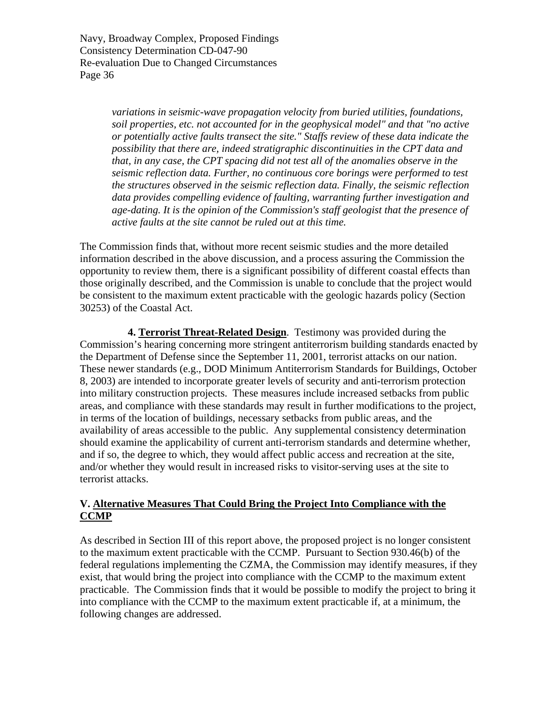> *variations in seismic-wave propagation velocity from buried utilities, foundations, soil properties, etc. not accounted for in the geophysical model" and that "no active or potentially active faults transect the site." Staffs review of these data indicate the possibility that there are, indeed stratigraphic discontinuities in the CPT data and that, in any case, the CPT spacing did not test all of the anomalies observe in the seismic reflection data. Further, no continuous core borings were performed to test the structures observed in the seismic reflection data. Finally, the seismic reflection data provides compelling evidence of faulting, warranting further investigation and age-dating. It is the opinion of the Commission's staff geologist that the presence of active faults at the site cannot be ruled out at this time.*

The Commission finds that, without more recent seismic studies and the more detailed information described in the above discussion, and a process assuring the Commission the opportunity to review them, there is a significant possibility of different coastal effects than those originally described, and the Commission is unable to conclude that the project would be consistent to the maximum extent practicable with the geologic hazards policy (Section 30253) of the Coastal Act.

**4. Terrorist Threat-Related Design**. Testimony was provided during the Commission's hearing concerning more stringent antiterrorism building standards enacted by the Department of Defense since the September 11, 2001, terrorist attacks on our nation. These newer standards (e.g., DOD Minimum Antiterrorism Standards for Buildings, October 8, 2003) are intended to incorporate greater levels of security and anti-terrorism protection into military construction projects. These measures include increased setbacks from public areas, and compliance with these standards may result in further modifications to the project, in terms of the location of buildings, necessary setbacks from public areas, and the availability of areas accessible to the public. Any supplemental consistency determination should examine the applicability of current anti-terrorism standards and determine whether, and if so, the degree to which, they would affect public access and recreation at the site, and/or whether they would result in increased risks to visitor-serving uses at the site to terrorist attacks.

#### **V. Alternative Measures That Could Bring the Project Into Compliance with the CCMP**

As described in Section III of this report above, the proposed project is no longer consistent to the maximum extent practicable with the CCMP. Pursuant to Section 930.46(b) of the federal regulations implementing the CZMA, the Commission may identify measures, if they exist, that would bring the project into compliance with the CCMP to the maximum extent practicable. The Commission finds that it would be possible to modify the project to bring it into compliance with the CCMP to the maximum extent practicable if, at a minimum, the following changes are addressed.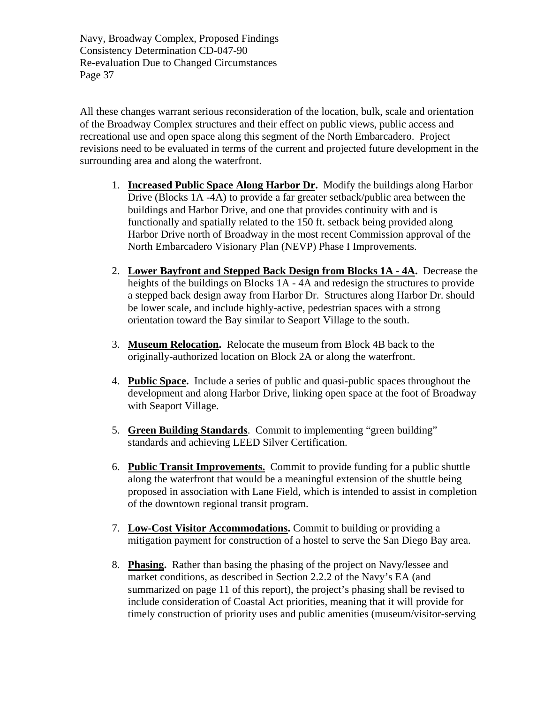All these changes warrant serious reconsideration of the location, bulk, scale and orientation of the Broadway Complex structures and their effect on public views, public access and recreational use and open space along this segment of the North Embarcadero. Project revisions need to be evaluated in terms of the current and projected future development in the surrounding area and along the waterfront.

- 1. **Increased Public Space Along Harbor Dr.** Modify the buildings along Harbor Drive (Blocks 1A -4A) to provide a far greater setback/public area between the buildings and Harbor Drive, and one that provides continuity with and is functionally and spatially related to the 150 ft. setback being provided along Harbor Drive north of Broadway in the most recent Commission approval of the North Embarcadero Visionary Plan (NEVP) Phase I Improvements.
- 2. **Lower Bayfront and Stepped Back Design from Blocks 1A 4A.** Decrease the heights of the buildings on Blocks 1A - 4A and redesign the structures to provide a stepped back design away from Harbor Dr. Structures along Harbor Dr. should be lower scale, and include highly-active, pedestrian spaces with a strong orientation toward the Bay similar to Seaport Village to the south.
- 3. **Museum Relocation.** Relocate the museum from Block 4B back to the originally-authorized location on Block 2A or along the waterfront.
- 4. **Public Space.** Include a series of public and quasi-public spaces throughout the development and along Harbor Drive, linking open space at the foot of Broadway with Seaport Village.
- 5. **Green Building Standards**. Commit to implementing "green building" standards and achieving LEED Silver Certification.
- 6. **Public Transit Improvements.** Commit to provide funding for a public shuttle along the waterfront that would be a meaningful extension of the shuttle being proposed in association with Lane Field, which is intended to assist in completion of the downtown regional transit program.
- 7. **Low-Cost Visitor Accommodations.** Commit to building or providing a mitigation payment for construction of a hostel to serve the San Diego Bay area.
- 8. **Phasing.** Rather than basing the phasing of the project on Navy/lessee and market conditions, as described in Section 2.2.2 of the Navy's EA (and summarized on page 11 of this report), the project's phasing shall be revised to include consideration of Coastal Act priorities, meaning that it will provide for timely construction of priority uses and public amenities (museum/visitor-serving